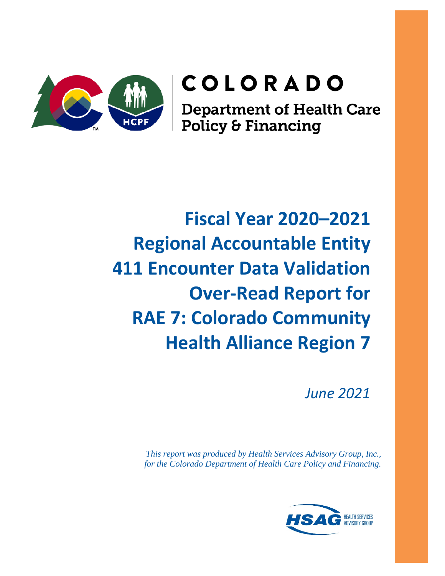

# COLORADO

**Department of Health Care<br>Policy & Financing** 

# **Fiscal Year 2020–2021 Regional Accountable Entity 411 Encounter Data Validation Over-Read Report for RAE 7: Colorado Community Health Alliance Region 7**

*June 2021*

*This report was produced by Health Services Advisory Group, Inc., for the Colorado Department of Health Care Policy and Financing.* 

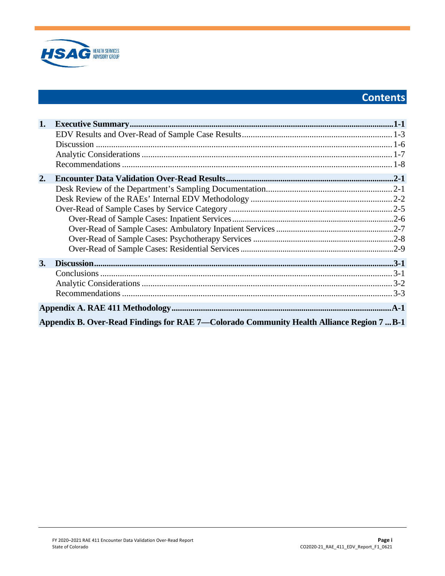

# Contents

| 1. |                                                                                           |  |
|----|-------------------------------------------------------------------------------------------|--|
|    |                                                                                           |  |
|    |                                                                                           |  |
|    |                                                                                           |  |
|    |                                                                                           |  |
| 2. |                                                                                           |  |
|    |                                                                                           |  |
|    |                                                                                           |  |
|    |                                                                                           |  |
|    |                                                                                           |  |
|    |                                                                                           |  |
|    |                                                                                           |  |
|    |                                                                                           |  |
| 3. |                                                                                           |  |
|    |                                                                                           |  |
|    |                                                                                           |  |
|    |                                                                                           |  |
|    |                                                                                           |  |
|    | Appendix B. Over-Read Findings for RAE 7—Colorado Community Health Alliance Region 7  B-1 |  |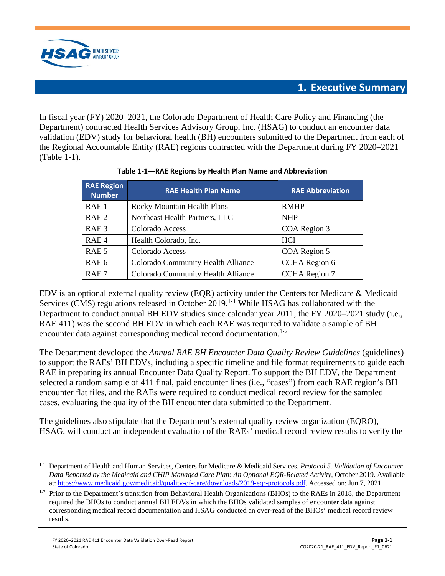

## **1. Executive Summary**

<span id="page-2-0"></span>In fiscal year (FY) 2020–2021, the Colorado Department of Health Care Policy and Financing (the Department) contracted Health Services Advisory Group, Inc. (HSAG) to conduct an encounter data validation (EDV) study for behavioral health (BH) encounters submitted to the Department from each of the Regional Accountable Entity (RAE) regions contracted with the Department during FY 2020–2021 [\(Table 1-1\)](#page-2-1).

<span id="page-2-1"></span>

| <b>RAE Region</b><br><b>Number</b> | <b>RAE Health Plan Name</b>        | <b>RAE Abbreviation</b> |
|------------------------------------|------------------------------------|-------------------------|
| RAE <sub>1</sub>                   | <b>Rocky Mountain Health Plans</b> | <b>RMHP</b>             |
| RAE <sub>2</sub>                   | Northeast Health Partners, LLC     | <b>NHP</b>              |
| RAE <sub>3</sub>                   | Colorado Access                    | COA Region 3            |
| RAE <sub>4</sub>                   | Health Colorado, Inc.              | <b>HCI</b>              |
| RAE 5                              | Colorado Access                    | COA Region 5            |
| RAE 6                              | Colorado Community Health Alliance | CCHA Region 6           |
| RAE <sub>7</sub>                   | Colorado Community Health Alliance | CCHA Region 7           |

| Table 1-1-RAE Regions by Health Plan Name and Abbreviation |  |
|------------------------------------------------------------|--|
|------------------------------------------------------------|--|

EDV is an optional external quality review (EQR) activity under the Centers for Medicare & Medicaid Services (CMS) regulations released in October 20[1](#page-2-2)9.<sup>1-1</sup> While HSAG has collaborated with the Department to conduct annual BH EDV studies since calendar year 2011, the FY 2020–2021 study (i.e., RAE 411) was the second BH EDV in which each RAE was required to validate a sample of BH encounter data against corresponding medical record documentation.<sup>1-[2](#page-2-3)</sup>

The Department developed the *Annual RAE BH Encounter Data Quality Review Guidelines* (guidelines) to support the RAEs' BH EDVs, including a specific timeline and file format requirements to guide each RAE in preparing its annual Encounter Data Quality Report. To support the BH EDV, the Department selected a random sample of 411 final, paid encounter lines (i.e., "cases") from each RAE region's BH encounter flat files, and the RAEs were required to conduct medical record review for the sampled cases, evaluating the quality of the BH encounter data submitted to the Department.

The guidelines also stipulate that the Department's external quality review organization (EQRO), HSAG, will conduct an independent evaluation of the RAEs' medical record review results to verify the

<span id="page-2-2"></span><sup>1-1</sup> Department of Health and Human Services, Centers for Medicare & Medicaid Services. *Protocol 5. Validation of Encounter Data Reported by the Medicaid and CHIP Managed Care Plan: An Optional EQR-Related Activity*, October 2019. Available at[: https://www.medicaid.gov/medicaid/quality-of-care/downloads/2019-eqr-protocols.pdf.](https://www.medicaid.gov/medicaid/quality-of-care/downloads/2019-eqr-protocols.pdf) Accessed on: Jun 7, 2021.

<span id="page-2-3"></span> $1-2$  Prior to the Department's transition from Behavioral Health Organizations (BHOs) to the RAEs in 2018, the Department required the BHOs to conduct annual BH EDVs in which the BHOs validated samples of encounter data against corresponding medical record documentation and HSAG conducted an over-read of the BHOs' medical record review results.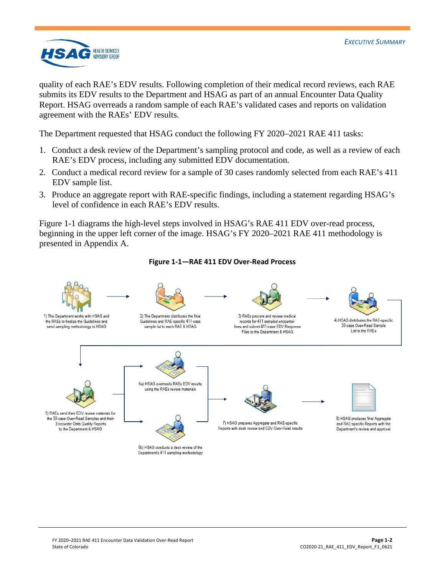

quality of each RAE's EDV results. Following completion of their medical record reviews, each RAE submits its EDV results to the Department and HSAG as part of an annual Encounter Data Quality Report. HSAG overreads a random sample of each RAE's validated cases and reports on validation agreement with the RAEs' EDV results.

The Department requested that HSAG conduct the following FY 2020–2021 RAE 411 tasks:

- 1. Conduct a desk review of the Department's sampling protocol and code, as well as a review of each RAE's EDV process, including any submitted EDV documentation.
- 2. Conduct a medical record review for a sample of 30 cases randomly selected from each RAE's 411 EDV sample list.
- 3. Produce an aggregate report with RAE-specific findings, including a statement regarding HSAG's level of confidence in each RAE's EDV results.

[Figure 1-1](#page-3-0) diagrams the high-level steps involved in HSAG's RAE 411 EDV over-read process, beginning in the upper left corner of the image. HSAG's FY 2020–2021 RAE 411 methodology is presented in [Appendix A.](#page-24-0)

<span id="page-3-0"></span>

#### **Figure 1-1—RAE 411 EDV Over-Read Process**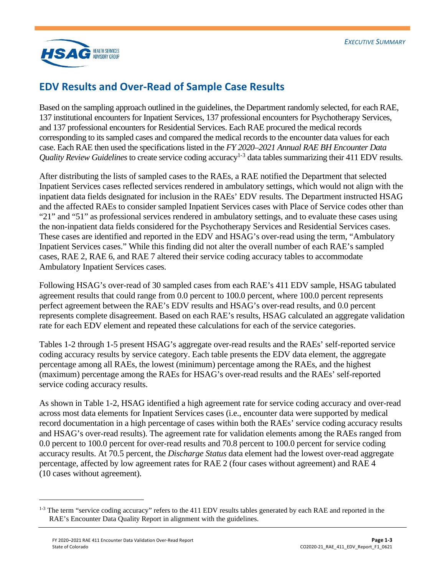

# <span id="page-4-0"></span>**EDV Results and Over-Read of Sample Case Results**

Based on the sampling approach outlined in the guidelines, the Department randomly selected, for each RAE, 137 institutional encounters for Inpatient Services, 137 professional encounters for Psychotherapy Services, and 137 professional encounters for Residential Services. Each RAE procured the medical records corresponding to its sampled cases and compared the medical records to the encounter data values for each case. Each RAE then used the specifications listed in the *FY 2020–2021 Annual RAE BH Encounter Data Quality Review Guidelines* to create service coding accuracy<sup>1-[3](#page-4-1)</sup> data tables summarizing their 411 EDV results.

After distributing the lists of sampled cases to the RAEs, a RAE notified the Department that selected Inpatient Services cases reflected services rendered in ambulatory settings, which would not align with the inpatient data fields designated for inclusion in the RAEs' EDV results. The Department instructed HSAG and the affected RAEs to consider sampled Inpatient Services cases with Place of Service codes other than "21" and "51" as professional services rendered in ambulatory settings, and to evaluate these cases using the non-inpatient data fields considered for the Psychotherapy Services and Residential Services cases. These cases are identified and reported in the EDV and HSAG's over-read using the term, "Ambulatory Inpatient Services cases." While this finding did not alter the overall number of each RAE's sampled cases, RAE 2, RAE 6, and RAE 7 altered their service coding accuracy tables to accommodate Ambulatory Inpatient Services cases.

Following HSAG's over-read of 30 sampled cases from each RAE's 411 EDV sample, HSAG tabulated agreement results that could range from 0.0 percent to 100.0 percent, where 100.0 percent represents perfect agreement between the RAE's EDV results and HSAG's over-read results, and 0.0 percent represents complete disagreement. Based on each RAE's results, HSAG calculated an aggregate validation rate for each EDV element and repeated these calculations for each of the service categories.

Tables 1-2 through 1-5 present HSAG's aggregate over-read results and the RAEs' self-reported service coding accuracy results by service category. Each table presents the EDV data element, the aggregate percentage among all RAEs, the lowest (minimum) percentage among the RAEs, and the highest (maximum) percentage among the RAEs for HSAG's over-read results and the RAEs' self-reported service coding accuracy results.

As shown in [Table 1-2,](#page-5-0) HSAG identified a high agreement rate for service coding accuracy and over-read across most data elements for Inpatient Services cases (i.e., encounter data were supported by medical record documentation in a high percentage of cases within both the RAEs' service coding accuracy results and HSAG's over-read results). The agreement rate for validation elements among the RAEs ranged from 0.0 percent to 100.0 percent for over-read results and 70.8 percent to 100.0 percent for service coding accuracy results. At 70.5 percent, the *Discharge Status* data element had the lowest over-read aggregate percentage, affected by low agreement rates for RAE 2 (four cases without agreement) and RAE 4 (10 cases without agreement).

<span id="page-4-1"></span><sup>&</sup>lt;sup>1-3</sup> The term "service coding accuracy" refers to the 411 EDV results tables generated by each RAE and reported in the RAE's Encounter Data Quality Report in alignment with the guidelines.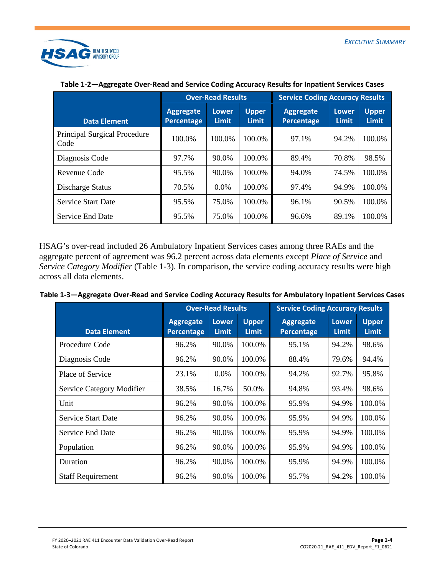

<span id="page-5-0"></span>

|                                      | <b>Over-Read Results</b>       |                              |                              | <b>Service Coding Accuracy Results</b> |                       |                              |  |
|--------------------------------------|--------------------------------|------------------------------|------------------------------|----------------------------------------|-----------------------|------------------------------|--|
| <b>Data Element</b>                  | <b>Aggregate</b><br>Percentage | <b>Lower</b><br><b>Limit</b> | <b>Upper</b><br><b>Limit</b> | <b>Aggregate</b><br>Percentage         | <b>Lower</b><br>Limit | <b>Upper</b><br><b>Limit</b> |  |
| Principal Surgical Procedure<br>Code | 100.0%                         | 100.0%                       | 100.0%                       | 97.1%                                  | 94.2%                 | 100.0%                       |  |
| Diagnosis Code                       | 97.7%                          | 90.0%                        | 100.0%                       | 89.4%                                  | 70.8%                 | 98.5%                        |  |
| Revenue Code                         | 95.5%                          | 90.0%                        | 100.0%                       | 94.0%                                  | 74.5%                 | 100.0%                       |  |
| Discharge Status                     | 70.5%                          | $0.0\%$                      | 100.0%                       | 97.4%                                  | 94.9%                 | 100.0%                       |  |
| <b>Service Start Date</b>            | 95.5%                          | 75.0%                        | 100.0%                       | 96.1%                                  | 90.5%                 | 100.0%                       |  |
| Service End Date                     | 95.5%                          | 75.0%                        | 100.0%                       | 96.6%                                  | 89.1%                 | 100.0%                       |  |

#### **Table 1-2—Aggregate Over-Read and Service Coding Accuracy Results for Inpatient Services Cases**

HSAG's over-read included 26 Ambulatory Inpatient Services cases among three RAEs and the aggregate percent of agreement was 96.2 percent across data elements except *Place of Service* and *Service Category Modifier* [\(Table 1-3\)](#page-5-1). In comparison, the service coding accuracy results were high across all data elements.

|                           | <b>Over-Read Results</b>              |                       |                              | <b>Service Coding Accuracy Results</b> |                       |                              |  |
|---------------------------|---------------------------------------|-----------------------|------------------------------|----------------------------------------|-----------------------|------------------------------|--|
| <b>Data Element</b>       | <b>Aggregate</b><br><b>Percentage</b> | <b>Lower</b><br>Limit | <b>Upper</b><br><b>Limit</b> | <b>Aggregate</b><br><b>Percentage</b>  | <b>Lower</b><br>Limit | <b>Upper</b><br><b>Limit</b> |  |
| Procedure Code            | 96.2%                                 | 90.0%                 | 100.0%                       | 95.1%                                  | 94.2%                 | 98.6%                        |  |
| Diagnosis Code            | 96.2%                                 | 90.0%                 | 100.0%                       | 88.4%                                  | 79.6%                 | 94.4%                        |  |
| Place of Service          | 23.1%                                 | 0.0%                  | 100.0%                       | 94.2%                                  | 92.7%                 | 95.8%                        |  |
| Service Category Modifier | 38.5%                                 | 16.7%                 | 50.0%                        | 94.8%                                  | 93.4%                 | 98.6%                        |  |
| Unit                      | 96.2%                                 | 90.0%                 | 100.0%                       | 95.9%                                  | 94.9%                 | 100.0%                       |  |
| <b>Service Start Date</b> | 96.2%                                 | 90.0%                 | 100.0%                       | 95.9%                                  | 94.9%                 | 100.0%                       |  |
| <b>Service End Date</b>   | 96.2%                                 | 90.0%                 | 100.0%                       | 95.9%                                  | 94.9%                 | 100.0%                       |  |
| Population                | 96.2%                                 | 90.0%                 | 100.0%                       | 95.9%                                  | 94.9%                 | 100.0%                       |  |
| Duration                  | 96.2%                                 | 90.0%                 | 100.0%                       | 95.9%                                  | 94.9%                 | 100.0%                       |  |
| <b>Staff Requirement</b>  | 96.2%                                 | 90.0%                 | 100.0%                       | 95.7%                                  | 94.2%                 | 100.0%                       |  |

<span id="page-5-1"></span>

| Table 1-3-Aggregate Over-Read and Service Coding Accuracy Results for Ambulatory Inpatient Services Cases |  |  |
|-----------------------------------------------------------------------------------------------------------|--|--|
|-----------------------------------------------------------------------------------------------------------|--|--|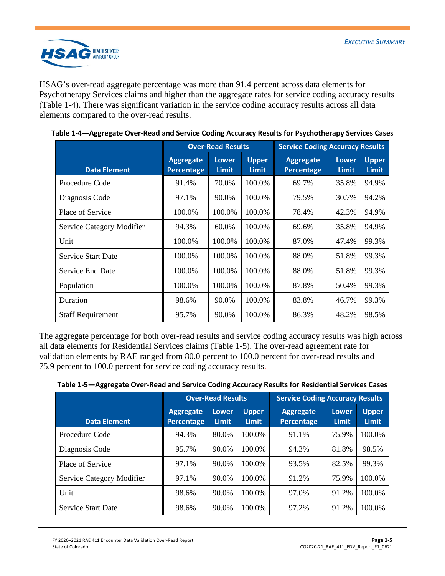

HSAG's over-read aggregate percentage was more than 91.4 percent across data elements for Psychotherapy Services claims and higher than the aggregate rates for service coding accuracy results [\(Table 1-4\)](#page-6-0). There was significant variation in the service coding accuracy results across all data elements compared to the over-read results.

|                           | <b>Over-Read Results</b>              |                       |                              | <b>Service Coding Accuracy Results</b> |                              |                              |  |
|---------------------------|---------------------------------------|-----------------------|------------------------------|----------------------------------------|------------------------------|------------------------------|--|
| <b>Data Element</b>       | <b>Aggregate</b><br><b>Percentage</b> | <b>Lower</b><br>Limit | <b>Upper</b><br><b>Limit</b> | <b>Aggregate</b><br><b>Percentage</b>  | <b>Lower</b><br><b>Limit</b> | <b>Upper</b><br><b>Limit</b> |  |
| Procedure Code            | 91.4%                                 | 70.0%                 | 100.0%                       | 69.7%                                  | 35.8%                        | 94.9%                        |  |
| Diagnosis Code            | 97.1%                                 | 90.0%                 | 100.0%                       | 79.5%                                  | 30.7%                        | 94.2%                        |  |
| Place of Service          | 100.0%                                | 100.0%                | 100.0%                       | 78.4%                                  | 42.3%                        | 94.9%                        |  |
| Service Category Modifier | 94.3%                                 | 60.0%                 | 100.0%                       | 69.6%                                  | 35.8%                        | 94.9%                        |  |
| Unit                      | 100.0%                                | 100.0%                | 100.0%                       | 87.0%                                  | 47.4%                        | 99.3%                        |  |
| <b>Service Start Date</b> | 100.0%                                | 100.0%                | 100.0%                       | 88.0%                                  | 51.8%                        | 99.3%                        |  |
| Service End Date          | 100.0%                                | 100.0%                | 100.0%                       | 88.0%                                  | 51.8%                        | 99.3%                        |  |
| Population                | 100.0%                                | 100.0%                | 100.0%                       | 87.8%                                  | 50.4%                        | 99.3%                        |  |
| Duration                  | 98.6%                                 | 90.0%                 | 100.0%                       | 83.8%                                  | 46.7%                        | 99.3%                        |  |
| <b>Staff Requirement</b>  | 95.7%                                 | 90.0%                 | 100.0%                       | 86.3%                                  | 48.2%                        | 98.5%                        |  |

<span id="page-6-0"></span>

|  | Table 1-4—Aggregate Over-Read and Service Coding Accuracy Results for Psychotherapy Services Cases |  |
|--|----------------------------------------------------------------------------------------------------|--|
|  |                                                                                                    |  |

The aggregate percentage for both over-read results and service coding accuracy results was high across all data elements for Residential Services claims [\(Table 1-5\)](#page-6-1). The over-read agreement rate for validation elements by RAE ranged from 80.0 percent to 100.0 percent for over-read results and 75.9 percent to 100.0 percent for service coding accuracy results.

<span id="page-6-1"></span>

|  | Table 1-5-Aggregate Over-Read and Service Coding Accuracy Results for Residential Services Cases |  |  |  |
|--|--------------------------------------------------------------------------------------------------|--|--|--|
|--|--------------------------------------------------------------------------------------------------|--|--|--|

|                           | <b>Over-Read Results</b>                                                         |       |                                | <b>Service Coding Accuracy Results</b> |                              |        |  |
|---------------------------|----------------------------------------------------------------------------------|-------|--------------------------------|----------------------------------------|------------------------------|--------|--|
| <b>Data Element</b>       | <b>Upper</b><br><b>Aggregate</b><br>Lower<br>Percentage<br><b>Limit</b><br>Limit |       | <b>Aggregate</b><br>Percentage | <b>Lower</b><br>Limit                  | <b>Upper</b><br><b>Limit</b> |        |  |
| Procedure Code            | 94.3%                                                                            | 80.0% | 100.0%                         | 91.1%                                  | 75.9%                        | 100.0% |  |
| Diagnosis Code            | 95.7%                                                                            | 90.0% | 100.0%                         | 94.3%                                  | 81.8%                        | 98.5%  |  |
| Place of Service          | 97.1%                                                                            | 90.0% | 100.0%                         | 93.5%                                  | 82.5%                        | 99.3%  |  |
| Service Category Modifier | 97.1%                                                                            | 90.0% | 100.0%                         | 91.2%                                  | 75.9%                        | 100.0% |  |
| Unit                      | 98.6%                                                                            | 90.0% | 100.0%                         | 97.0%                                  | 91.2%                        | 100.0% |  |
| <b>Service Start Date</b> | 98.6%                                                                            | 90.0% | 100.0%                         | 97.2%                                  | 91.2%                        | 100.0% |  |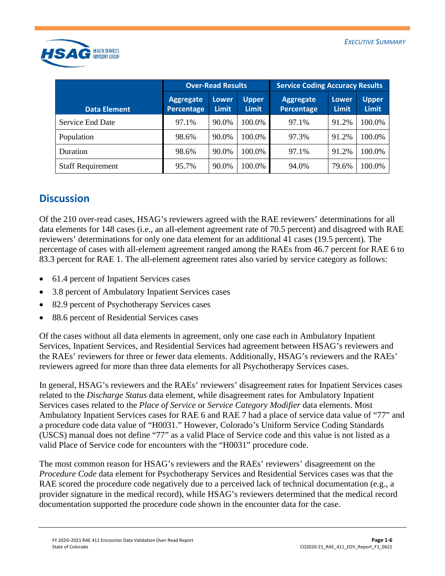

|                          | <b>Over-Read Results</b>       |                       |                       | <b>Service Coding Accuracy Results</b> |                |                              |  |
|--------------------------|--------------------------------|-----------------------|-----------------------|----------------------------------------|----------------|------------------------------|--|
| <b>Data Element</b>      | <b>Aggregate</b><br>Percentage | Lower<br><b>Limit</b> | Upper<br><b>Limit</b> | <b>Aggregate</b><br>Percentage         | Lower<br>Limit | <b>Upper</b><br><b>Limit</b> |  |
| Service End Date         | 97.1%                          | 90.0%                 | 100.0%                | 97.1%                                  | 91.2%          | 100.0%                       |  |
| Population               | 98.6%                          | 90.0%                 | 100.0%                | 97.3%                                  | 91.2%          | 100.0%                       |  |
| Duration                 | 98.6%                          | 90.0%                 | 100.0%                | 97.1%                                  | 91.2%          | 100.0%                       |  |
| <b>Staff Requirement</b> | 95.7%                          | 90.0%                 | 100.0%                | 94.0%                                  | 79.6%          | 100.0%                       |  |

# <span id="page-7-0"></span>**Discussion**

Of the 210 over-read cases, HSAG's reviewers agreed with the RAE reviewers' determinations for all data elements for 148 cases (i.e., an all-element agreement rate of 70.5 percent) and disagreed with RAE reviewers' determinations for only one data element for an additional 41 cases (19.5 percent). The percentage of cases with all-element agreement ranged among the RAEs from 46.7 percent for RAE 6 to 83.3 percent for RAE 1. The all-element agreement rates also varied by service category as follows:

- 61.4 percent of Inpatient Services cases
- 3.8 percent of Ambulatory Inpatient Services cases
- 82.9 percent of Psychotherapy Services cases
- 88.6 percent of Residential Services cases

Of the cases without all data elements in agreement, only one case each in Ambulatory Inpatient Services, Inpatient Services, and Residential Services had agreement between HSAG's reviewers and the RAEs' reviewers for three or fewer data elements. Additionally, HSAG's reviewers and the RAEs' reviewers agreed for more than three data elements for all Psychotherapy Services cases.

In general, HSAG's reviewers and the RAEs' reviewers' disagreement rates for Inpatient Services cases related to the *Discharge Status* data element, while disagreement rates for Ambulatory Inpatient Services cases related to the *Place of Service* or *Service Category Modifier* data elements. Most Ambulatory Inpatient Services cases for RAE 6 and RAE 7 had a place of service data value of "77" and a procedure code data value of "H0031." However, Colorado's Uniform Service Coding Standards (USCS) manual does not define "77" as a valid Place of Service code and this value is not listed as a valid Place of Service code for encounters with the "H0031" procedure code.

The most common reason for HSAG's reviewers and the RAEs' reviewers' disagreement on the *Procedure Code* data element for Psychotherapy Services and Residential Services cases was that the RAE scored the procedure code negatively due to a perceived lack of technical documentation (e.g., a provider signature in the medical record), while HSAG's reviewers determined that the medical record documentation supported the procedure code shown in the encounter data for the case.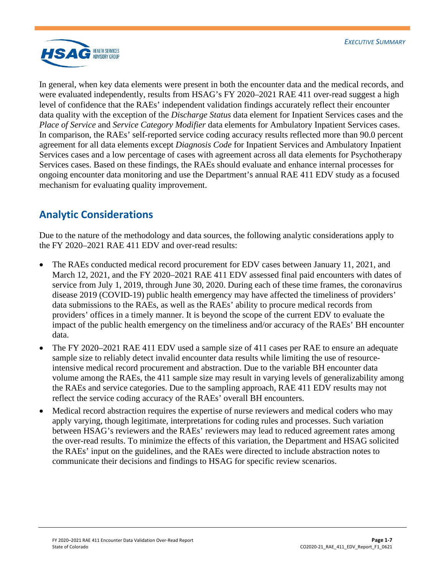

In general, when key data elements were present in both the encounter data and the medical records, and were evaluated independently, results from HSAG's FY 2020–2021 RAE 411 over-read suggest a high level of confidence that the RAEs' independent validation findings accurately reflect their encounter data quality with the exception of the *Discharge Status* data element for Inpatient Services cases and the *Place of Service* and *Service Category Modifier* data elements for Ambulatory Inpatient Services cases. In comparison, the RAEs' self-reported service coding accuracy results reflected more than 90.0 percent agreement for all data elements except *Diagnosis Code* for Inpatient Services and Ambulatory Inpatient Services cases and a low percentage of cases with agreement across all data elements for Psychotherapy Services cases. Based on these findings, the RAEs should evaluate and enhance internal processes for ongoing encounter data monitoring and use the Department's annual RAE 411 EDV study as a focused mechanism for evaluating quality improvement.

# <span id="page-8-0"></span>**Analytic Considerations**

Due to the nature of the methodology and data sources, the following analytic considerations apply to the FY 2020–2021 RAE 411 EDV and over-read results:

- The RAEs conducted medical record procurement for EDV cases between January 11, 2021, and March 12, 2021, and the FY 2020–2021 RAE 411 EDV assessed final paid encounters with dates of service from July 1, 2019, through June 30, 2020. During each of these time frames, the coronavirus disease 2019 (COVID-19) public health emergency may have affected the timeliness of providers' data submissions to the RAEs, as well as the RAEs' ability to procure medical records from providers' offices in a timely manner. It is beyond the scope of the current EDV to evaluate the impact of the public health emergency on the timeliness and/or accuracy of the RAEs' BH encounter data.
- The FY 2020–2021 RAE 411 EDV used a sample size of 411 cases per RAE to ensure an adequate sample size to reliably detect invalid encounter data results while limiting the use of resourceintensive medical record procurement and abstraction. Due to the variable BH encounter data volume among the RAEs, the 411 sample size may result in varying levels of generalizability among the RAEs and service categories. Due to the sampling approach, RAE 411 EDV results may not reflect the service coding accuracy of the RAEs' overall BH encounters.
- Medical record abstraction requires the expertise of nurse reviewers and medical coders who may apply varying, though legitimate, interpretations for coding rules and processes. Such variation between HSAG's reviewers and the RAEs' reviewers may lead to reduced agreement rates among the over-read results. To minimize the effects of this variation, the Department and HSAG solicited the RAEs' input on the guidelines, and the RAEs were directed to include abstraction notes to communicate their decisions and findings to HSAG for specific review scenarios.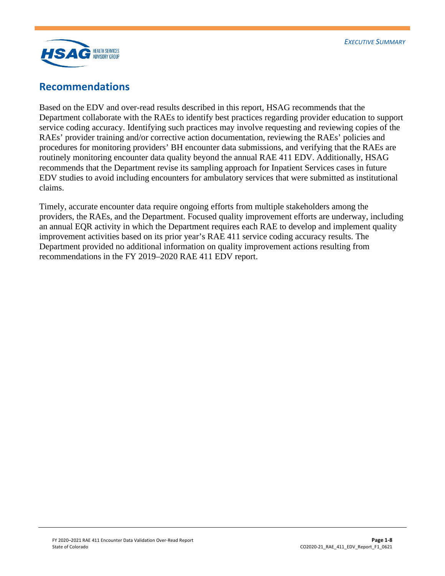

## <span id="page-9-0"></span>**Recommendations**

Based on the EDV and over-read results described in this report, HSAG recommends that the Department collaborate with the RAEs to identify best practices regarding provider education to support service coding accuracy. Identifying such practices may involve requesting and reviewing copies of the RAEs' provider training and/or corrective action documentation, reviewing the RAEs' policies and procedures for monitoring providers' BH encounter data submissions, and verifying that the RAEs are routinely monitoring encounter data quality beyond the annual RAE 411 EDV. Additionally, HSAG recommends that the Department revise its sampling approach for Inpatient Services cases in future EDV studies to avoid including encounters for ambulatory services that were submitted as institutional claims.

Timely, accurate encounter data require ongoing efforts from multiple stakeholders among the providers, the RAEs, and the Department. Focused quality improvement efforts are underway, including an annual EQR activity in which the Department requires each RAE to develop and implement quality improvement activities based on its prior year's RAE 411 service coding accuracy results. The Department provided no additional information on quality improvement actions resulting from recommendations in the FY 2019–2020 RAE 411 EDV report.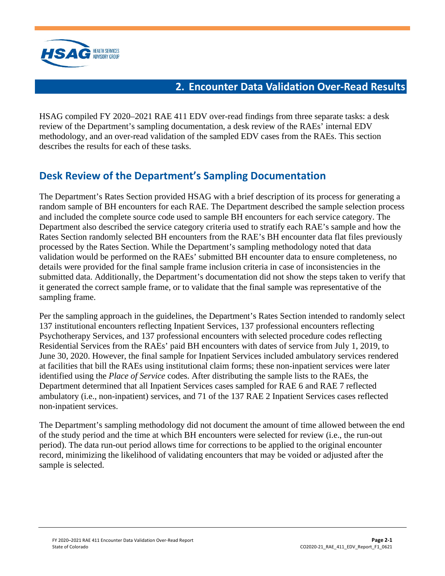

## **2. Encounter Data Validation Over-Read Results**

<span id="page-10-0"></span>HSAG compiled FY 2020–2021 RAE 411 EDV over-read findings from three separate tasks: a desk review of the Department's sampling documentation, a desk review of the RAEs' internal EDV methodology, and an over-read validation of the sampled EDV cases from the RAEs. This section describes the results for each of these tasks.

# <span id="page-10-1"></span>**Desk Review of the Department's Sampling Documentation**

The Department's Rates Section provided HSAG with a brief description of its process for generating a random sample of BH encounters for each RAE. The Department described the sample selection process and included the complete source code used to sample BH encounters for each service category. The Department also described the service category criteria used to stratify each RAE's sample and how the Rates Section randomly selected BH encounters from the RAE's BH encounter data flat files previously processed by the Rates Section. While the Department's sampling methodology noted that data validation would be performed on the RAEs' submitted BH encounter data to ensure completeness, no details were provided for the final sample frame inclusion criteria in case of inconsistencies in the submitted data. Additionally, the Department's documentation did not show the steps taken to verify that it generated the correct sample frame, or to validate that the final sample was representative of the sampling frame.

Per the sampling approach in the guidelines, the Department's Rates Section intended to randomly select 137 institutional encounters reflecting Inpatient Services, 137 professional encounters reflecting Psychotherapy Services, and 137 professional encounters with selected procedure codes reflecting Residential Services from the RAEs' paid BH encounters with dates of service from July 1, 2019, to June 30, 2020. However, the final sample for Inpatient Services included ambulatory services rendered at facilities that bill the RAEs using institutional claim forms; these non-inpatient services were later identified using the *Place of Service* codes. After distributing the sample lists to the RAEs, the Department determined that all Inpatient Services cases sampled for RAE 6 and RAE 7 reflected ambulatory (i.e., non-inpatient) services, and 71 of the 137 RAE 2 Inpatient Services cases reflected non-inpatient services.

The Department's sampling methodology did not document the amount of time allowed between the end of the study period and the time at which BH encounters were selected for review (i.e., the run-out period). The data run-out period allows time for corrections to be applied to the original encounter record, minimizing the likelihood of validating encounters that may be voided or adjusted after the sample is selected.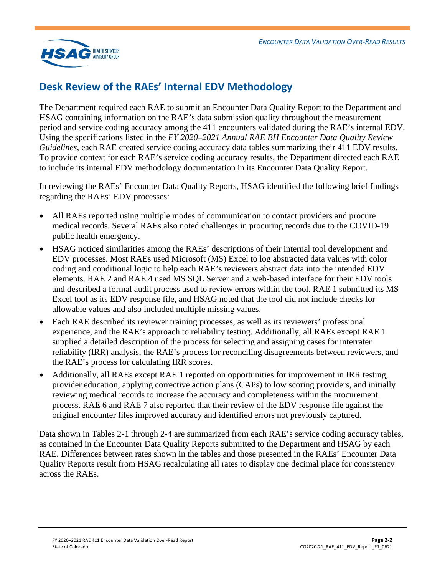

# <span id="page-11-0"></span>**Desk Review of the RAEs' Internal EDV Methodology**

The Department required each RAE to submit an Encounter Data Quality Report to the Department and HSAG containing information on the RAE's data submission quality throughout the measurement period and service coding accuracy among the 411 encounters validated during the RAE's internal EDV. Using the specifications listed in the *FY 2020–2021 Annual RAE BH Encounter Data Quality Review Guidelines*, each RAE created service coding accuracy data tables summarizing their 411 EDV results. To provide context for each RAE's service coding accuracy results, the Department directed each RAE to include its internal EDV methodology documentation in its Encounter Data Quality Report.

In reviewing the RAEs' Encounter Data Quality Reports, HSAG identified the following brief findings regarding the RAEs' EDV processes:

- All RAEs reported using multiple modes of communication to contact providers and procure medical records. Several RAEs also noted challenges in procuring records due to the COVID-19 public health emergency.
- HSAG noticed similarities among the RAEs' descriptions of their internal tool development and EDV processes. Most RAEs used Microsoft (MS) Excel to log abstracted data values with color coding and conditional logic to help each RAE's reviewers abstract data into the intended EDV elements. RAE 2 and RAE 4 used MS SQL Server and a web-based interface for their EDV tools and described a formal audit process used to review errors within the tool. RAE 1 submitted its MS Excel tool as its EDV response file, and HSAG noted that the tool did not include checks for allowable values and also included multiple missing values.
- Each RAE described its reviewer training processes, as well as its reviewers' professional experience, and the RAE's approach to reliability testing. Additionally, all RAEs except RAE 1 supplied a detailed description of the process for selecting and assigning cases for interrater reliability (IRR) analysis, the RAE's process for reconciling disagreements between reviewers, and the RAE's process for calculating IRR scores.
- Additionally, all RAEs except RAE 1 reported on opportunities for improvement in IRR testing, provider education, applying corrective action plans (CAPs) to low scoring providers, and initially reviewing medical records to increase the accuracy and completeness within the procurement process. RAE 6 and RAE 7 also reported that their review of the EDV response file against the original encounter files improved accuracy and identified errors not previously captured.

Data shown in Tables 2-1 through 2-4 are summarized from each RAE's service coding accuracy tables, as contained in the Encounter Data Quality Reports submitted to the Department and HSAG by each RAE. Differences between rates shown in the tables and those presented in the RAEs' Encounter Data Quality Reports result from HSAG recalculating all rates to display one decimal place for consistency across the RAEs.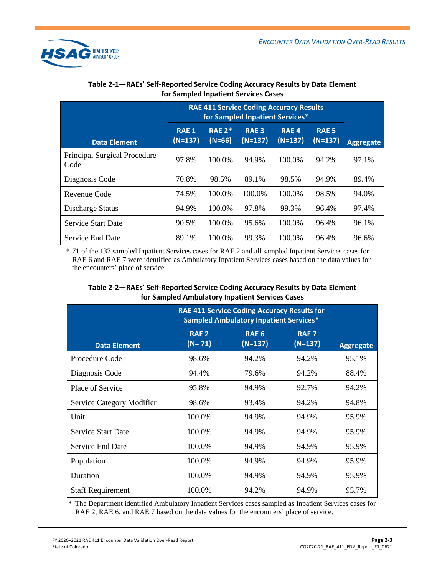

|                                      | <b>RAE 411 Service Coding Accuracy Results</b><br>for Sampled Inpatient Services* |                      |                          |                          |                               |                  |
|--------------------------------------|-----------------------------------------------------------------------------------|----------------------|--------------------------|--------------------------|-------------------------------|------------------|
| <b>Data Element</b>                  | <b>RAE1</b><br>$(N=137)$                                                          | RAE $2*$<br>$(N=66)$ | <b>RAE3</b><br>$(N=137)$ | <b>RAE4</b><br>$(N=137)$ | RAE <sub>5</sub><br>$(N=137)$ | <b>Aggregate</b> |
| Principal Surgical Procedure<br>Code | 97.8%                                                                             | 100.0%               | 94.9%                    | 100.0%                   | 94.2%                         | 97.1%            |
| Diagnosis Code                       | 70.8%                                                                             | 98.5%                | 89.1%                    | 98.5%                    | 94.9%                         | 89.4%            |
| Revenue Code                         | 74.5%                                                                             | 100.0%               | 100.0%                   | 100.0%                   | 98.5%                         | 94.0%            |
| Discharge Status                     | 94.9%                                                                             | 100.0%               | 97.8%                    | 99.3%                    | 96.4%                         | 97.4%            |
| <b>Service Start Date</b>            | 90.5%                                                                             | 100.0%               | 95.6%                    | 100.0%                   | 96.4%                         | 96.1%            |
| <b>Service End Date</b>              | 89.1%                                                                             | 100.0%               | 99.3%                    | 100.0%                   | 96.4%                         | 96.6%            |

### **Table 2-1—RAEs' Self-Reported Service Coding Accuracy Results by Data Element for Sampled Inpatient Services Cases**

\* 71 of the 137 sampled Inpatient Services cases for RAE 2 and all sampled Inpatient Services cases for RAE 6 and RAE 7 were identified as Ambulatory Inpatient Services cases based on the data values for the encounters' place of service.

|                           | <b>RAE 411 Service Coding Accuracy Results for</b><br><b>Sampled Ambulatory Inpatient Services*</b> |                           |                           |                  |
|---------------------------|-----------------------------------------------------------------------------------------------------|---------------------------|---------------------------|------------------|
| <b>Data Element</b>       | <b>RAE 2</b><br>$(N=71)$                                                                            | <b>RAE 6</b><br>$(N=137)$ | <b>RAE 7</b><br>$(N=137)$ | <b>Aggregate</b> |
| Procedure Code            | 98.6%                                                                                               | 94.2%                     | 94.2%                     | 95.1%            |
| Diagnosis Code            | 94.4%                                                                                               | 79.6%                     | 94.2%                     | 88.4%            |
| Place of Service          | 95.8%                                                                                               | 94.9%                     | 92.7%                     | 94.2%            |
| Service Category Modifier | 98.6%                                                                                               | 93.4%                     | 94.2%                     | 94.8%            |
| Unit                      | 100.0%                                                                                              | 94.9%                     | 94.9%                     | 95.9%            |
| <b>Service Start Date</b> | 100.0%                                                                                              | 94.9%                     | 94.9%                     | 95.9%            |
| Service End Date          | 100.0%                                                                                              | 94.9%                     | 94.9%                     | 95.9%            |
| Population                | 100.0%                                                                                              | 94.9%                     | 94.9%                     | 95.9%            |
| Duration                  | 100.0%                                                                                              | 94.9%                     | 94.9%                     | 95.9%            |
| <b>Staff Requirement</b>  | 100.0%                                                                                              | 94.2%                     | 94.9%                     | 95.7%            |

#### **Table 2-2—RAEs' Self-Reported Service Coding Accuracy Results by Data Element for Sampled Ambulatory Inpatient Services Cases**

\* The Department identified Ambulatory Inpatient Services cases sampled as Inpatient Services cases for RAE 2, RAE 6, and RAE 7 based on the data values for the encounters' place of service.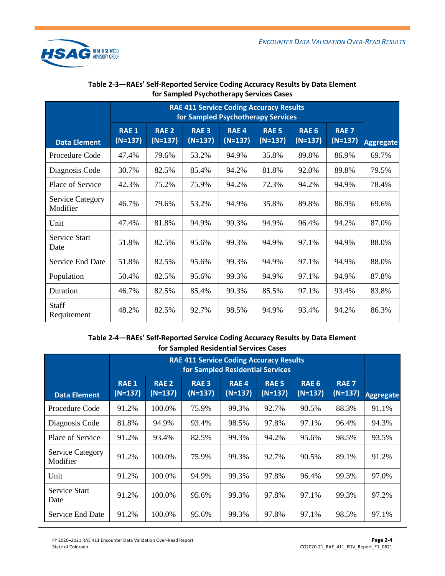

|                                     | <b>RAE 411 Service Coding Accuracy Results</b><br>for Sampled Psychotherapy Services |                           |                           |                          |                           |                               |                               |                  |
|-------------------------------------|--------------------------------------------------------------------------------------|---------------------------|---------------------------|--------------------------|---------------------------|-------------------------------|-------------------------------|------------------|
| <b>Data Element</b>                 | <b>RAE1</b><br>$(N=137)$                                                             | <b>RAE 2</b><br>$(N=137)$ | <b>RAE 3</b><br>$(N=137)$ | <b>RAE4</b><br>$(N=137)$ | <b>RAE 5</b><br>$(N=137)$ | RAE <sub>6</sub><br>$(N=137)$ | RAE <sub>7</sub><br>$(N=137)$ | <b>Aggregate</b> |
| Procedure Code                      | 47.4%                                                                                | 79.6%                     | 53.2%                     | 94.9%                    | 35.8%                     | 89.8%                         | 86.9%                         | 69.7%            |
| Diagnosis Code                      | 30.7%                                                                                | 82.5%                     | 85.4%                     | 94.2%                    | 81.8%                     | 92.0%                         | 89.8%                         | 79.5%            |
| Place of Service                    | 42.3%                                                                                | 75.2%                     | 75.9%                     | 94.2%                    | 72.3%                     | 94.2%                         | 94.9%                         | 78.4%            |
| <b>Service Category</b><br>Modifier | 46.7%                                                                                | 79.6%                     | 53.2%                     | 94.9%                    | 35.8%                     | 89.8%                         | 86.9%                         | 69.6%            |
| Unit                                | 47.4%                                                                                | 81.8%                     | 94.9%                     | 99.3%                    | 94.9%                     | 96.4%                         | 94.2%                         | 87.0%            |
| Service Start<br>Date               | 51.8%                                                                                | 82.5%                     | 95.6%                     | 99.3%                    | 94.9%                     | 97.1%                         | 94.9%                         | 88.0%            |
| <b>Service End Date</b>             | 51.8%                                                                                | 82.5%                     | 95.6%                     | 99.3%                    | 94.9%                     | 97.1%                         | 94.9%                         | 88.0%            |
| Population                          | 50.4%                                                                                | 82.5%                     | 95.6%                     | 99.3%                    | 94.9%                     | 97.1%                         | 94.9%                         | 87.8%            |
| Duration                            | 46.7%                                                                                | 82.5%                     | 85.4%                     | 99.3%                    | 85.5%                     | 97.1%                         | 93.4%                         | 83.8%            |
| Staff<br>Requirement                | 48.2%                                                                                | 82.5%                     | 92.7%                     | 98.5%                    | 94.9%                     | 93.4%                         | 94.2%                         | 86.3%            |

## **Table 2-3—RAEs' Self-Reported Service Coding Accuracy Results by Data Element for Sampled Psychotherapy Services Cases**

## **Table 2-4—RAEs' Self-Reported Service Coding Accuracy Results by Data Element for Sampled Residential Services Cases**

|                                     | <b>RAE 411 Service Coding Accuracy Results</b><br>for Sampled Residential Services |                           |                           |                        |                           |                               |                           |                  |
|-------------------------------------|------------------------------------------------------------------------------------|---------------------------|---------------------------|------------------------|---------------------------|-------------------------------|---------------------------|------------------|
| <b>Data Element</b>                 | <b>RAE1</b><br>$(N=137)$                                                           | <b>RAE 2</b><br>$(N=137)$ | <b>RAE 3</b><br>$(N=137)$ | <b>RAE4</b><br>(N=137) | <b>RAE 5</b><br>$(N=137)$ | RAE <sub>6</sub><br>$(N=137)$ | <b>RAE 7</b><br>$(N=137)$ | <b>Aggregate</b> |
| Procedure Code                      | 91.2%                                                                              | 100.0%                    | 75.9%                     | 99.3%                  | 92.7%                     | 90.5%                         | 88.3%                     | 91.1%            |
| Diagnosis Code                      | 81.8%                                                                              | 94.9%                     | 93.4%                     | 98.5%                  | 97.8%                     | 97.1%                         | 96.4%                     | 94.3%            |
| Place of Service                    | 91.2%                                                                              | 93.4%                     | 82.5%                     | 99.3%                  | 94.2%                     | 95.6%                         | 98.5%                     | 93.5%            |
| <b>Service Category</b><br>Modifier | 91.2%                                                                              | 100.0%                    | 75.9%                     | 99.3%                  | 92.7%                     | 90.5%                         | 89.1%                     | 91.2%            |
| Unit                                | 91.2%                                                                              | 100.0%                    | 94.9%                     | 99.3%                  | 97.8%                     | 96.4%                         | 99.3%                     | 97.0%            |
| <b>Service Start</b><br>Date        | 91.2%                                                                              | 100.0%                    | 95.6%                     | 99.3%                  | 97.8%                     | 97.1%                         | 99.3%                     | 97.2%            |
| Service End Date                    | 91.2%                                                                              | 100.0%                    | 95.6%                     | 99.3%                  | 97.8%                     | 97.1%                         | 98.5%                     | 97.1%            |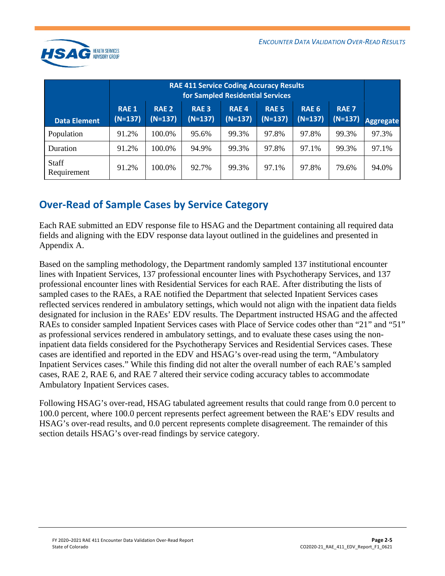

|                      | <b>RAE 411 Service Coding Accuracy Results</b><br>for Sampled Residential Services |                           |                               |                          |                               |                               |                           |                  |
|----------------------|------------------------------------------------------------------------------------|---------------------------|-------------------------------|--------------------------|-------------------------------|-------------------------------|---------------------------|------------------|
| <b>Data Element</b>  | <b>RAE1</b><br>$(N=137)$                                                           | <b>RAE 2</b><br>$(N=137)$ | RAE <sub>3</sub><br>$(N=137)$ | <b>RAE4</b><br>$(N=137)$ | RAE <sub>5</sub><br>$(N=137)$ | RAE <sub>6</sub><br>$(N=137)$ | <b>RAE 7</b><br>$(N=137)$ | <b>Aggregate</b> |
| Population           | 91.2%                                                                              | 100.0%                    | 95.6%                         | 99.3%                    | 97.8%                         | 97.8%                         | 99.3%                     | 97.3%            |
| Duration             | 91.2%                                                                              | 100.0%                    | 94.9%                         | 99.3%                    | 97.8%                         | 97.1%                         | 99.3%                     | 97.1%            |
| Staff<br>Requirement | 91.2%                                                                              | 100.0%                    | 92.7%                         | 99.3%                    | 97.1%                         | 97.8%                         | 79.6%                     | 94.0%            |

# <span id="page-14-0"></span>**Over-Read of Sample Cases by Service Category**

Each RAE submitted an EDV response file to HSAG and the Department containing all required data fields and aligning with the EDV response data layout outlined in the guidelines and presented in [Appendix A.](#page-24-0)

Based on the sampling methodology, the Department randomly sampled 137 institutional encounter lines with Inpatient Services, 137 professional encounter lines with Psychotherapy Services, and 137 professional encounter lines with Residential Services for each RAE. After distributing the lists of sampled cases to the RAEs, a RAE notified the Department that selected Inpatient Services cases reflected services rendered in ambulatory settings, which would not align with the inpatient data fields designated for inclusion in the RAEs' EDV results. The Department instructed HSAG and the affected RAEs to consider sampled Inpatient Services cases with Place of Service codes other than "21" and "51" as professional services rendered in ambulatory settings, and to evaluate these cases using the noninpatient data fields considered for the Psychotherapy Services and Residential Services cases. These cases are identified and reported in the EDV and HSAG's over-read using the term, "Ambulatory Inpatient Services cases." While this finding did not alter the overall number of each RAE's sampled cases, RAE 2, RAE 6, and RAE 7 altered their service coding accuracy tables to accommodate Ambulatory Inpatient Services cases.

Following HSAG's over-read, HSAG tabulated agreement results that could range from 0.0 percent to 100.0 percent, where 100.0 percent represents perfect agreement between the RAE's EDV results and HSAG's over-read results, and 0.0 percent represents complete disagreement. The remainder of this section details HSAG's over-read findings by service category.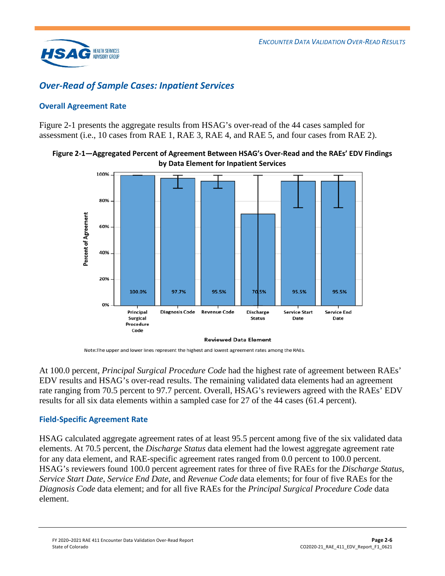

## <span id="page-15-0"></span>*Over-Read of Sample Cases: Inpatient Services*

### **Overall Agreement Rate**

[Figure 2-1](#page-15-1) presents the aggregate results from HSAG's over-read of the 44 cases sampled for assessment (i.e., 10 cases from RAE 1, RAE 3, RAE 4, and RAE 5, and four cases from RAE 2).

<span id="page-15-1"></span>



Note: The upper and lower lines represent the highest and lowest agreement rates among the RAEs.

At 100.0 percent, *Principal Surgical Procedure Code* had the highest rate of agreement between RAEs' EDV results and HSAG's over-read results. The remaining validated data elements had an agreement rate ranging from 70.5 percent to 97.7 percent. Overall, HSAG's reviewers agreed with the RAEs' EDV results for all six data elements within a sampled case for 27 of the 44 cases (61.4 percent).

#### **Field-Specific Agreement Rate**

HSAG calculated aggregate agreement rates of at least 95.5 percent among five of the six validated data elements. At 70.5 percent, the *Discharge Status* data element had the lowest aggregate agreement rate for any data element, and RAE-specific agreement rates ranged from 0.0 percent to 100.0 percent. HSAG's reviewers found 100.0 percent agreement rates for three of five RAEs for the *Discharge Status*, *Service Start Date*, *Service End Date*, and *Revenue Code* data elements; for four of five RAEs for the *Diagnosis Code* data element; and for all five RAEs for the *Principal Surgical Procedure Code* data element.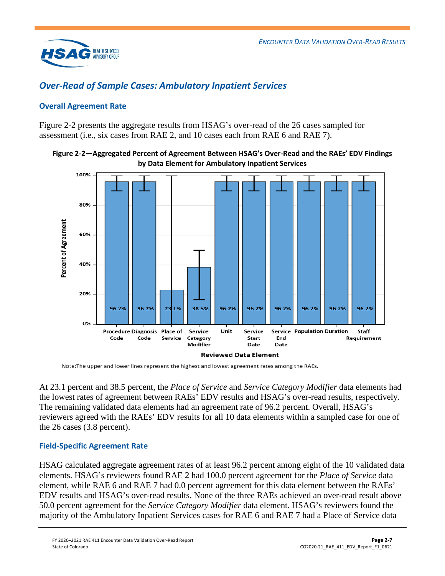

## <span id="page-16-0"></span>*Over-Read of Sample Cases: Ambulatory Inpatient Services*

## **Overall Agreement Rate**

[Figure 2-2](#page-16-1) presents the aggregate results from HSAG's over-read of the 26 cases sampled for assessment (i.e., six cases from RAE 2, and 10 cases each from RAE 6 and RAE 7).



<span id="page-16-1"></span>

Note: The upper and lower lines represent the highest and lowest agreement rates among the RAEs.

At 23.1 percent and 38.5 percent, the *Place of Service* and *Service Category Modifier* data elements had the lowest rates of agreement between RAEs' EDV results and HSAG's over-read results, respectively. The remaining validated data elements had an agreement rate of 96.2 percent. Overall, HSAG's reviewers agreed with the RAEs' EDV results for all 10 data elements within a sampled case for one of the 26 cases (3.8 percent).

#### **Field-Specific Agreement Rate**

HSAG calculated aggregate agreement rates of at least 96.2 percent among eight of the 10 validated data elements. HSAG's reviewers found RAE 2 had 100.0 percent agreement for the *Place of Service* data element, while RAE 6 and RAE 7 had 0.0 percent agreement for this data element between the RAEs' EDV results and HSAG's over-read results. None of the three RAEs achieved an over-read result above 50.0 percent agreement for the *Service Category Modifier* data element*.* HSAG's reviewers found the majority of the Ambulatory Inpatient Services cases for RAE 6 and RAE 7 had a Place of Service data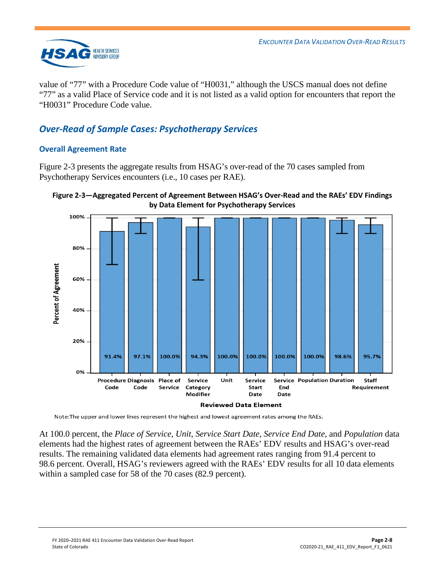*ENCOUNTER DATA VALIDATION OVER-READ RESULTS*



value of "77" with a Procedure Code value of "H0031," although the USCS manual does not define "77" as a valid Place of Service code and it is not listed as a valid option for encounters that report the "H0031" Procedure Code value.

## <span id="page-17-0"></span>*Over-Read of Sample Cases: Psychotherapy Services*

## **Overall Agreement Rate**

[Figure 2-3](#page-17-1) presents the aggregate results from HSAG's over-read of the 70 cases sampled from Psychotherapy Services encounters (i.e., 10 cases per RAE).

<span id="page-17-1"></span>



Note: The upper and lower lines represent the highest and lowest agreement rates among the RAEs.

At 100.0 percent, the *Place of Service*, *Unit*, *Service Start Date*, *Service End Date*, and *Population* data elements had the highest rates of agreement between the RAEs' EDV results and HSAG's over-read results. The remaining validated data elements had agreement rates ranging from 91.4 percent to 98.6 percent. Overall, HSAG's reviewers agreed with the RAEs' EDV results for all 10 data elements within a sampled case for 58 of the 70 cases (82.9 percent).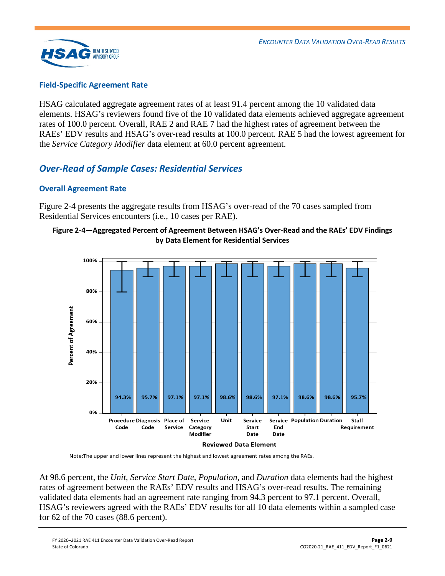

#### **Field-Specific Agreement Rate**

HSAG calculated aggregate agreement rates of at least 91.4 percent among the 10 validated data elements. HSAG's reviewers found five of the 10 validated data elements achieved aggregate agreement rates of 100.0 percent. Overall, RAE 2 and RAE 7 had the highest rates of agreement between the RAEs' EDV results and HSAG's over-read results at 100.0 percent. RAE 5 had the lowest agreement for the *Service Category Modifier* data element at 60.0 percent agreement.

## <span id="page-18-0"></span>*Over-Read of Sample Cases: Residential Services*

### **Overall Agreement Rate**

[Figure 2-4](#page-18-1) presents the aggregate results from HSAG's over-read of the 70 cases sampled from Residential Services encounters (i.e., 10 cases per RAE).

#### <span id="page-18-1"></span>**Figure 2-4—Aggregated Percent of Agreement Between HSAG's Over-Read and the RAEs' EDV Findings by Data Element for Residential Services**



Note: The upper and lower lines represent the highest and lowest agreement rates among the RAEs.

At 98.6 percent, the *Unit*, *Service Start Date*, *Population*, and *Duration* data elements had the highest rates of agreement between the RAEs' EDV results and HSAG's over-read results. The remaining validated data elements had an agreement rate ranging from 94.3 percent to 97.1 percent. Overall, HSAG's reviewers agreed with the RAEs' EDV results for all 10 data elements within a sampled case for 62 of the 70 cases (88.6 percent).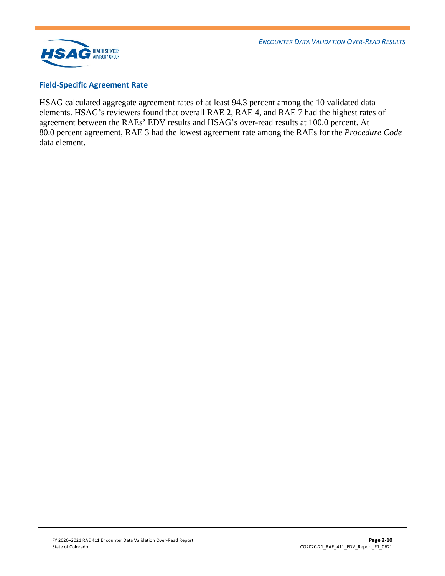*ENCOUNTER DATA VALIDATION OVER-READ RESULTS*



#### **Field-Specific Agreement Rate**

HSAG calculated aggregate agreement rates of at least 94.3 percent among the 10 validated data elements. HSAG's reviewers found that overall RAE 2, RAE 4, and RAE 7 had the highest rates of agreement between the RAEs' EDV results and HSAG's over-read results at 100.0 percent. At 80.0 percent agreement, RAE 3 had the lowest agreement rate among the RAEs for the *Procedure Code* data element.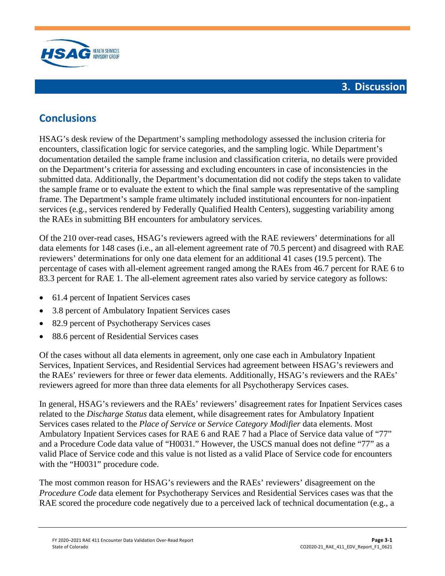

# <span id="page-20-1"></span><span id="page-20-0"></span>**Conclusions**

HSAG's desk review of the Department's sampling methodology assessed the inclusion criteria for encounters, classification logic for service categories, and the sampling logic. While Department's documentation detailed the sample frame inclusion and classification criteria, no details were provided on the Department's criteria for assessing and excluding encounters in case of inconsistencies in the submitted data. Additionally, the Department's documentation did not codify the steps taken to validate the sample frame or to evaluate the extent to which the final sample was representative of the sampling frame. The Department's sample frame ultimately included institutional encounters for non-inpatient services (e.g., services rendered by Federally Qualified Health Centers), suggesting variability among the RAEs in submitting BH encounters for ambulatory services.

Of the 210 over-read cases, HSAG's reviewers agreed with the RAE reviewers' determinations for all data elements for 148 cases (i.e., an all-element agreement rate of 70.5 percent) and disagreed with RAE reviewers' determinations for only one data element for an additional 41 cases (19.5 percent). The percentage of cases with all-element agreement ranged among the RAEs from 46.7 percent for RAE 6 to 83.3 percent for RAE 1. The all-element agreement rates also varied by service category as follows:

- 61.4 percent of Inpatient Services cases
- 3.8 percent of Ambulatory Inpatient Services cases
- 82.9 percent of Psychotherapy Services cases
- 88.6 percent of Residential Services cases

Of the cases without all data elements in agreement, only one case each in Ambulatory Inpatient Services, Inpatient Services, and Residential Services had agreement between HSAG's reviewers and the RAEs' reviewers for three or fewer data elements. Additionally, HSAG's reviewers and the RAEs' reviewers agreed for more than three data elements for all Psychotherapy Services cases.

In general, HSAG's reviewers and the RAEs' reviewers' disagreement rates for Inpatient Services cases related to the *Discharge Status* data element, while disagreement rates for Ambulatory Inpatient Services cases related to the *Place of Service* or *Service Category Modifier* data elements. Most Ambulatory Inpatient Services cases for RAE 6 and RAE 7 had a Place of Service data value of "77" and a Procedure Code data value of "H0031." However, the USCS manual does not define "77" as a valid Place of Service code and this value is not listed as a valid Place of Service code for encounters with the "H0031" procedure code.

The most common reason for HSAG's reviewers and the RAEs' reviewers' disagreement on the *Procedure Code* data element for Psychotherapy Services and Residential Services cases was that the RAE scored the procedure code negatively due to a perceived lack of technical documentation (e.g., a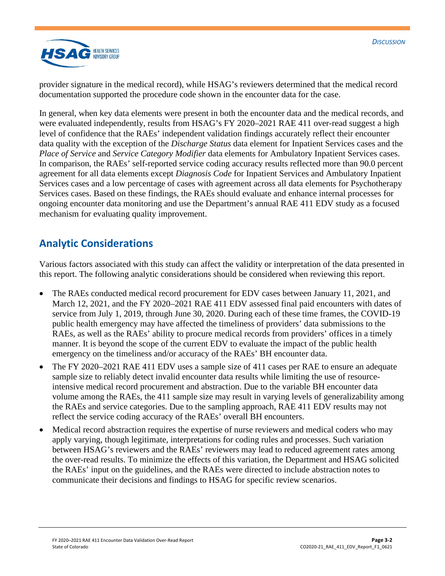

provider signature in the medical record), while HSAG's reviewers determined that the medical record documentation supported the procedure code shown in the encounter data for the case.

In general, when key data elements were present in both the encounter data and the medical records, and were evaluated independently, results from HSAG's FY 2020–2021 RAE 411 over-read suggest a high level of confidence that the RAEs' independent validation findings accurately reflect their encounter data quality with the exception of the *Discharge Status* data element for Inpatient Services cases and the *Place of Service* and *Service Category Modifier* data elements for Ambulatory Inpatient Services cases. In comparison, the RAEs' self-reported service coding accuracy results reflected more than 90.0 percent agreement for all data elements except *Diagnosis Code* for Inpatient Services and Ambulatory Inpatient Services cases and a low percentage of cases with agreement across all data elements for Psychotherapy Services cases. Based on these findings, the RAEs should evaluate and enhance internal processes for ongoing encounter data monitoring and use the Department's annual RAE 411 EDV study as a focused mechanism for evaluating quality improvement.

# <span id="page-21-0"></span>**Analytic Considerations**

Various factors associated with this study can affect the validity or interpretation of the data presented in this report. The following analytic considerations should be considered when reviewing this report.

- The RAEs conducted medical record procurement for EDV cases between January 11, 2021, and March 12, 2021, and the FY 2020–2021 RAE 411 EDV assessed final paid encounters with dates of service from July 1, 2019, through June 30, 2020. During each of these time frames, the COVID-19 public health emergency may have affected the timeliness of providers' data submissions to the RAEs, as well as the RAEs' ability to procure medical records from providers' offices in a timely manner. It is beyond the scope of the current EDV to evaluate the impact of the public health emergency on the timeliness and/or accuracy of the RAEs' BH encounter data.
- The FY 2020–2021 RAE 411 EDV uses a sample size of 411 cases per RAE to ensure an adequate sample size to reliably detect invalid encounter data results while limiting the use of resourceintensive medical record procurement and abstraction. Due to the variable BH encounter data volume among the RAEs, the 411 sample size may result in varying levels of generalizability among the RAEs and service categories. Due to the sampling approach, RAE 411 EDV results may not reflect the service coding accuracy of the RAEs' overall BH encounters.
- Medical record abstraction requires the expertise of nurse reviewers and medical coders who may apply varying, though legitimate, interpretations for coding rules and processes. Such variation between HSAG's reviewers and the RAEs' reviewers may lead to reduced agreement rates among the over-read results. To minimize the effects of this variation, the Department and HSAG solicited the RAEs' input on the guidelines, and the RAEs were directed to include abstraction notes to communicate their decisions and findings to HSAG for specific review scenarios.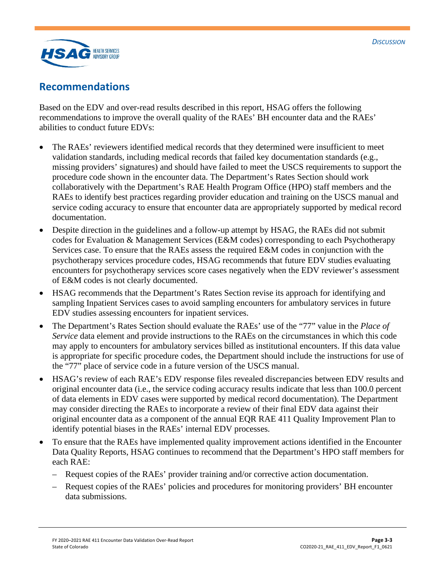

## <span id="page-22-0"></span>**Recommendations**

Based on the EDV and over-read results described in this report, HSAG offers the following recommendations to improve the overall quality of the RAEs' BH encounter data and the RAEs' abilities to conduct future EDVs:

- The RAEs' reviewers identified medical records that they determined were insufficient to meet validation standards, including medical records that failed key documentation standards (e.g., missing providers' signatures) and should have failed to meet the USCS requirements to support the procedure code shown in the encounter data. The Department's Rates Section should work collaboratively with the Department's RAE Health Program Office (HPO) staff members and the RAEs to identify best practices regarding provider education and training on the USCS manual and service coding accuracy to ensure that encounter data are appropriately supported by medical record documentation.
- Despite direction in the guidelines and a follow-up attempt by HSAG, the RAEs did not submit codes for Evaluation & Management Services (E&M codes) corresponding to each Psychotherapy Services case. To ensure that the RAEs assess the required E&M codes in conjunction with the psychotherapy services procedure codes, HSAG recommends that future EDV studies evaluating encounters for psychotherapy services score cases negatively when the EDV reviewer's assessment of E&M codes is not clearly documented.
- HSAG recommends that the Department's Rates Section revise its approach for identifying and sampling Inpatient Services cases to avoid sampling encounters for ambulatory services in future EDV studies assessing encounters for inpatient services.
- The Department's Rates Section should evaluate the RAEs' use of the "77" value in the *Place of Service* data element and provide instructions to the RAEs on the circumstances in which this code may apply to encounters for ambulatory services billed as institutional encounters. If this data value is appropriate for specific procedure codes, the Department should include the instructions for use of the "77" place of service code in a future version of the USCS manual.
- HSAG's review of each RAE's EDV response files revealed discrepancies between EDV results and original encounter data (i.e., the service coding accuracy results indicate that less than 100.0 percent of data elements in EDV cases were supported by medical record documentation). The Department may consider directing the RAEs to incorporate a review of their final EDV data against their original encounter data as a component of the annual EQR RAE 411 Quality Improvement Plan to identify potential biases in the RAEs' internal EDV processes.
- To ensure that the RAEs have implemented quality improvement actions identified in the Encounter Data Quality Reports, HSAG continues to recommend that the Department's HPO staff members for each RAE:
	- Request copies of the RAEs' provider training and/or corrective action documentation.
	- Request copies of the RAEs' policies and procedures for monitoring providers' BH encounter data submissions.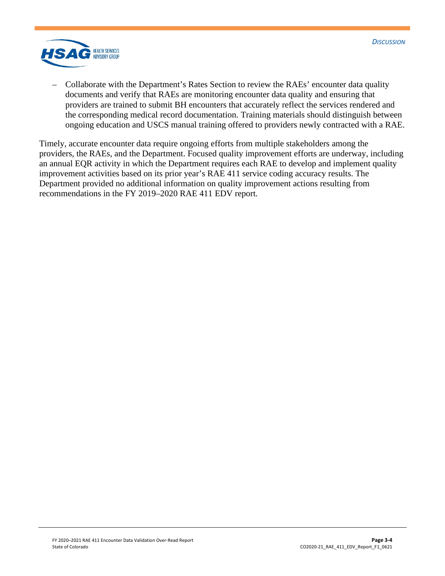

– Collaborate with the Department's Rates Section to review the RAEs' encounter data quality documents and verify that RAEs are monitoring encounter data quality and ensuring that providers are trained to submit BH encounters that accurately reflect the services rendered and the corresponding medical record documentation. Training materials should distinguish between ongoing education and USCS manual training offered to providers newly contracted with a RAE.

Timely, accurate encounter data require ongoing efforts from multiple stakeholders among the providers, the RAEs, and the Department. Focused quality improvement efforts are underway, including an annual EQR activity in which the Department requires each RAE to develop and implement quality improvement activities based on its prior year's RAE 411 service coding accuracy results. The Department provided no additional information on quality improvement actions resulting from recommendations in the FY 2019–2020 RAE 411 EDV report*.*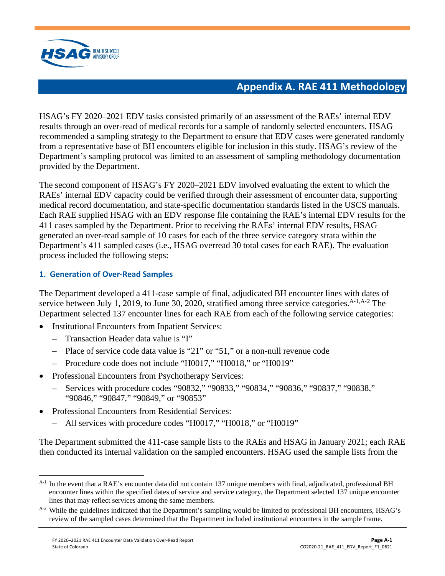

# **Appendix A. RAE 411 Methodology**

<span id="page-24-0"></span>HSAG's FY 2020–2021 EDV tasks consisted primarily of an assessment of the RAEs' internal EDV results through an over-read of medical records for a sample of randomly selected encounters. HSAG recommended a sampling strategy to the Department to ensure that EDV cases were generated randomly from a representative base of BH encounters eligible for inclusion in this study. HSAG's review of the Department's sampling protocol was limited to an assessment of sampling methodology documentation provided by the Department.

The second component of HSAG's FY 2020–2021 EDV involved evaluating the extent to which the RAEs' internal EDV capacity could be verified through their assessment of encounter data, supporting medical record documentation, and state-specific documentation standards listed in the USCS manuals. Each RAE supplied HSAG with an EDV response file containing the RAE's internal EDV results for the 411 cases sampled by the Department. Prior to receiving the RAEs' internal EDV results, HSAG generated an over-read sample of 10 cases for each of the three service category strata within the Department's 411 sampled cases (i.e., HSAG overread 30 total cases for each RAE). The evaluation process included the following steps:

## **1. Generation of Over-Read Samples**

The Department developed a 411-case sample of final, adjudicated BH encounter lines with dates of service between July [1](#page-24-1), [2](#page-24-2)019, to June 30, 2020, stratified among three service categories.  $A-1, A-2$  The Department selected 137 encounter lines for each RAE from each of the following service categories:

- Institutional Encounters from Inpatient Services:
	- Transaction Header data value is "I"
	- Place of service code data value is "21" or "51," or a non-null revenue code
	- Procedure code does not include "H0017," "H0018," or "H0019"
- Professional Encounters from Psychotherapy Services:
	- Services with procedure codes "90832," "90833," "90834," "90836," "90837," "90838," "90846," "90847," "90849," or "90853"
- Professional Encounters from Residential Services:
	- All services with procedure codes "H0017," "H0018," or "H0019"

The Department submitted the 411-case sample lists to the RAEs and HSAG in January 2021; each RAE then conducted its internal validation on the sampled encounters. HSAG used the sample lists from the

<span id="page-24-1"></span> $A-1$  In the event that a RAE's encounter data did not contain 137 unique members with final, adjudicated, professional BH encounter lines within the specified dates of service and service category, the Department selected 137 unique encounter lines that may reflect services among the same members.<br>A-2 While the guidelines indicated that the Department's sampling would be limited to professional BH encounters, HSAG's

<span id="page-24-2"></span>review of the sampled cases determined that the Department included institutional encounters in the sample frame.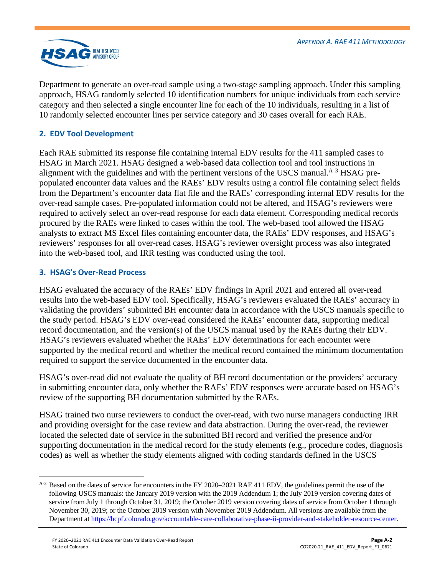

Department to generate an over-read sample using a two-stage sampling approach. Under this sampling approach, HSAG randomly selected 10 identification numbers for unique individuals from each service category and then selected a single encounter line for each of the 10 individuals, resulting in a list of 10 randomly selected encounter lines per service category and 30 cases overall for each RAE.

## **2. EDV Tool Development**

Each RAE submitted its response file containing internal EDV results for the 411 sampled cases to HSAG in March 2021. HSAG designed a web-based data collection tool and tool instructions in alignment with the guidelines and with the pertinent versions of the USCS manual.<sup>A-[3](#page-25-0)</sup> HSAG prepopulated encounter data values and the RAEs' EDV results using a control file containing select fields from the Department's encounter data flat file and the RAEs' corresponding internal EDV results for the over-read sample cases. Pre-populated information could not be altered, and HSAG's reviewers were required to actively select an over-read response for each data element. Corresponding medical records procured by the RAEs were linked to cases within the tool. The web-based tool allowed the HSAG analysts to extract MS Excel files containing encounter data, the RAEs' EDV responses, and HSAG's reviewers' responses for all over-read cases. HSAG's reviewer oversight process was also integrated into the web-based tool, and IRR testing was conducted using the tool.

## **3. HSAG's Over-Read Process**

HSAG evaluated the accuracy of the RAEs' EDV findings in April 2021 and entered all over-read results into the web-based EDV tool. Specifically, HSAG's reviewers evaluated the RAEs' accuracy in validating the providers' submitted BH encounter data in accordance with the USCS manuals specific to the study period. HSAG's EDV over-read considered the RAEs' encounter data, supporting medical record documentation, and the version(s) of the USCS manual used by the RAEs during their EDV. HSAG's reviewers evaluated whether the RAEs' EDV determinations for each encounter were supported by the medical record and whether the medical record contained the minimum documentation required to support the service documented in the encounter data.

HSAG's over-read did not evaluate the quality of BH record documentation or the providers' accuracy in submitting encounter data, only whether the RAEs' EDV responses were accurate based on HSAG's review of the supporting BH documentation submitted by the RAEs.

HSAG trained two nurse reviewers to conduct the over-read, with two nurse managers conducting IRR and providing oversight for the case review and data abstraction. During the over-read, the reviewer located the selected date of service in the submitted BH record and verified the presence and/or supporting documentation in the medical record for the study elements (e.g., procedure codes, diagnosis codes) as well as whether the study elements aligned with coding standards defined in the USCS

<span id="page-25-0"></span>A-3 Based on the dates of service for encounters in the FY 2020–2021 RAE 411 EDV, the guidelines permit the use of the following USCS manuals: the January 2019 version with the 2019 Addendum 1; the July 2019 version covering dates of service from July 1 through October 31, 2019; the October 2019 version covering dates of service from October 1 through November 30, 2019; or the October 2019 version with November 2019 Addendum. All versions are available from the Department a[t https://hcpf.colorado.gov/accountable-care-collaborative-phase-ii-provider-and-stakeholder-resource-center.](https://hcpf.colorado.gov/accountable-care-collaborative-phase-ii-provider-and-stakeholder-resource-center)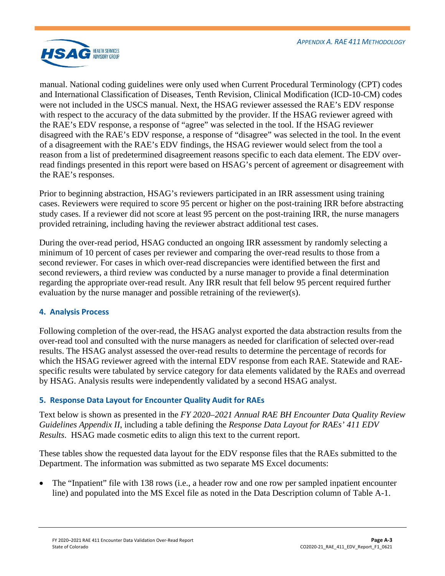

manual. National coding guidelines were only used when Current Procedural Terminology (CPT) codes and International Classification of Diseases, Tenth Revision, Clinical Modification (ICD-10-CM) codes were not included in the USCS manual. Next, the HSAG reviewer assessed the RAE's EDV response with respect to the accuracy of the data submitted by the provider. If the HSAG reviewer agreed with the RAE's EDV response, a response of "agree" was selected in the tool. If the HSAG reviewer disagreed with the RAE's EDV response, a response of "disagree" was selected in the tool. In the event of a disagreement with the RAE's EDV findings, the HSAG reviewer would select from the tool a reason from a list of predetermined disagreement reasons specific to each data element. The EDV overread findings presented in this report were based on HSAG's percent of agreement or disagreement with the RAE's responses.

Prior to beginning abstraction, HSAG's reviewers participated in an IRR assessment using training cases. Reviewers were required to score 95 percent or higher on the post-training IRR before abstracting study cases. If a reviewer did not score at least 95 percent on the post-training IRR, the nurse managers provided retraining, including having the reviewer abstract additional test cases.

During the over-read period, HSAG conducted an ongoing IRR assessment by randomly selecting a minimum of 10 percent of cases per reviewer and comparing the over-read results to those from a second reviewer. For cases in which over-read discrepancies were identified between the first and second reviewers, a third review was conducted by a nurse manager to provide a final determination regarding the appropriate over-read result. Any IRR result that fell below 95 percent required further evaluation by the nurse manager and possible retraining of the reviewer(s).

## **4. Analysis Process**

Following completion of the over-read, the HSAG analyst exported the data abstraction results from the over-read tool and consulted with the nurse managers as needed for clarification of selected over-read results. The HSAG analyst assessed the over-read results to determine the percentage of records for which the HSAG reviewer agreed with the internal EDV response from each RAE. Statewide and RAEspecific results were tabulated by service category for data elements validated by the RAEs and overread by HSAG. Analysis results were independently validated by a second HSAG analyst.

## **5. Response Data Layout for Encounter Quality Audit for RAEs**

Text below is shown as presented in the *FY 2020–2021 Annual RAE BH Encounter Data Quality Review Guidelines Appendix II*, including a table defining the *Response Data Layout for RAEs' 411 EDV Results*. HSAG made cosmetic edits to align this text to the current report.

These tables show the requested data layout for the EDV response files that the RAEs submitted to the Department. The information was submitted as two separate MS Excel documents:

• The "Inpatient" file with 138 rows (i.e., a header row and one row per sampled inpatient encounter line) and populated into the MS Excel file as noted in the Data Description column of [Table A-1.](#page-27-0)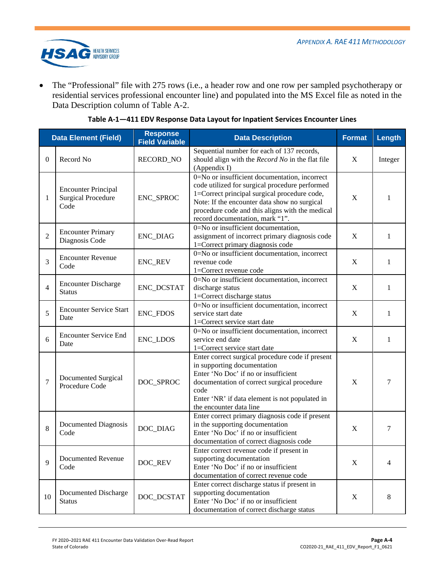

• The "Professional" file with 275 rows (i.e., a header row and one row per sampled psychotherapy or residential services professional encounter line) and populated into the MS Excel file as noted in the Data Description column of [Table A-2.](#page-29-0)

<span id="page-27-0"></span>

|                  | <b>Data Element (Field)</b>                                     | <b>Response</b><br><b>Field Variable</b> | <b>Data Description</b>                                                                                                                                                                                                                                                               | <b>Format</b> | Length       |
|------------------|-----------------------------------------------------------------|------------------------------------------|---------------------------------------------------------------------------------------------------------------------------------------------------------------------------------------------------------------------------------------------------------------------------------------|---------------|--------------|
| $\boldsymbol{0}$ | Record No                                                       | RECORD_NO                                | Sequential number for each of 137 records,<br>should align with the <i>Record No</i> in the flat file<br>(Appendix I)                                                                                                                                                                 | X             | Integer      |
| 1                | <b>Encounter Principal</b><br><b>Surgical Procedure</b><br>Code | ENC_SPROC                                | 0=No or insufficient documentation, incorrect<br>code utilized for surgical procedure performed<br>1=Correct principal surgical procedure code,<br>Note: If the encounter data show no surgical<br>procedure code and this aligns with the medical<br>record documentation, mark "1". | X             | 1            |
| $\overline{c}$   | <b>Encounter Primary</b><br>Diagnosis Code                      | <b>ENC_DIAG</b>                          | 0=No or insufficient documentation,<br>assignment of incorrect primary diagnosis code<br>1=Correct primary diagnosis code                                                                                                                                                             | X             | 1            |
| 3                | <b>Encounter Revenue</b><br>Code                                | ENC_REV                                  | 0=No or insufficient documentation, incorrect<br>revenue code<br>1=Correct revenue code                                                                                                                                                                                               | $\mathbf X$   | 1            |
| $\overline{4}$   | <b>Encounter Discharge</b><br><b>Status</b>                     | ENC_DCSTAT                               | 0=No or insufficient documentation, incorrect<br>discharge status<br>1=Correct discharge status                                                                                                                                                                                       | X             | $\mathbf{1}$ |
| 5                | <b>Encounter Service Start</b><br>Date                          | <b>ENC_FDOS</b>                          | 0=No or insufficient documentation, incorrect<br>service start date<br>1=Correct service start date                                                                                                                                                                                   | X             | 1            |
| 6                | <b>Encounter Service End</b><br>Date                            | ENC_LDOS                                 | 0=No or insufficient documentation, incorrect<br>service end date<br>1=Correct service start date                                                                                                                                                                                     | X             | $\mathbf{1}$ |
| $\overline{7}$   | Documented Surgical<br>Procedure Code                           | DOC_SPROC                                | Enter correct surgical procedure code if present<br>in supporting documentation<br>Enter 'No Doc' if no or insufficient<br>documentation of correct surgical procedure<br>code<br>Enter 'NR' if data element is not populated in<br>the encounter data line                           | $\mathbf X$   | 7            |
| 8                | Documented Diagnosis<br>Code                                    | DOC_DIAG                                 | Enter correct primary diagnosis code if present<br>in the supporting documentation<br>Enter 'No Doc' if no or insufficient<br>documentation of correct diagnosis code                                                                                                                 | X             | 7            |
| 9                | Documented Revenue<br>Code                                      | DOC_REV                                  | Enter correct revenue code if present in<br>supporting documentation<br>Enter 'No Doc' if no or insufficient<br>documentation of correct revenue code                                                                                                                                 | X             | 4            |
| 10               | Documented Discharge<br><b>Status</b>                           | DOC_DCSTAT                               | Enter correct discharge status if present in<br>supporting documentation<br>Enter 'No Doc' if no or insufficient<br>documentation of correct discharge status                                                                                                                         | X             | 8            |

| Table A-1—411 EDV Response Data Layout for Inpatient Services Encounter Lines |  |
|-------------------------------------------------------------------------------|--|
|-------------------------------------------------------------------------------|--|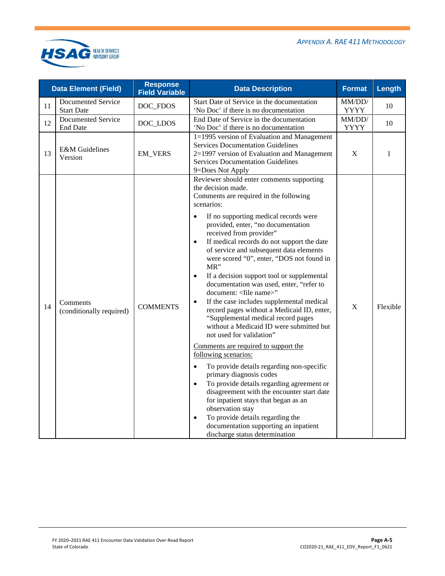*APPENDIX A. RAE 411 METHODOLOGY*



|    | <b>Data Element (Field)</b>             | <b>Response</b><br><b>Field Variable</b> | <b>Data Description</b>                                                                                                                                                                                                                                                                                                                                                                                                                                                                                                                                                                                                                                                                                                                                                                                                                                                                                                                                                                                                                                                                                                                                                                                                                                                                                                                           | <b>Format</b>         | Length       |
|----|-----------------------------------------|------------------------------------------|---------------------------------------------------------------------------------------------------------------------------------------------------------------------------------------------------------------------------------------------------------------------------------------------------------------------------------------------------------------------------------------------------------------------------------------------------------------------------------------------------------------------------------------------------------------------------------------------------------------------------------------------------------------------------------------------------------------------------------------------------------------------------------------------------------------------------------------------------------------------------------------------------------------------------------------------------------------------------------------------------------------------------------------------------------------------------------------------------------------------------------------------------------------------------------------------------------------------------------------------------------------------------------------------------------------------------------------------------|-----------------------|--------------|
| 11 | Documented Service<br><b>Start Date</b> | DOC_FDOS                                 | Start Date of Service in the documentation<br>'No Doc' if there is no documentation                                                                                                                                                                                                                                                                                                                                                                                                                                                                                                                                                                                                                                                                                                                                                                                                                                                                                                                                                                                                                                                                                                                                                                                                                                                               | MM/DD/<br><b>YYYY</b> | 10           |
| 12 | Documented Service<br><b>End Date</b>   | DOC_LDOS                                 | End Date of Service in the documentation<br>'No Doc' if there is no documentation                                                                                                                                                                                                                                                                                                                                                                                                                                                                                                                                                                                                                                                                                                                                                                                                                                                                                                                                                                                                                                                                                                                                                                                                                                                                 | MM/DD/<br><b>YYYY</b> | 10           |
| 13 | <b>E&amp;M</b> Guidelines<br>Version    | <b>EM_VERS</b>                           | 1=1995 version of Evaluation and Management<br><b>Services Documentation Guidelines</b><br>$2=1997$ version of Evaluation and Management<br><b>Services Documentation Guidelines</b><br>9=Does Not Apply                                                                                                                                                                                                                                                                                                                                                                                                                                                                                                                                                                                                                                                                                                                                                                                                                                                                                                                                                                                                                                                                                                                                          | X                     | $\mathbf{1}$ |
| 14 | Comments<br>(conditionally required)    | <b>COMMENTS</b>                          | Reviewer should enter comments supporting<br>the decision made.<br>Comments are required in the following<br>scenarios:<br>If no supporting medical records were<br>$\bullet$<br>provided, enter, "no documentation<br>received from provider"<br>If medical records do not support the date<br>$\bullet$<br>of service and subsequent data elements<br>were scored "0", enter, "DOS not found in<br>MR"<br>If a decision support tool or supplemental<br>$\bullet$<br>documentation was used, enter, "refer to<br>document: <file name="">"<br/>If the case includes supplemental medical<br/><math display="inline">\bullet</math><br/>record pages without a Medicaid ID, enter,<br/>"Supplemental medical record pages<br/>without a Medicaid ID were submitted but<br/>not used for validation"<br/>Comments are required to support the<br/>following scenarios:<br/>To provide details regarding non-specific<br/><math display="inline">\bullet</math><br/>primary diagnosis codes<br/>To provide details regarding agreement or<br/><math>\bullet</math><br/>disagreement with the encounter start date<br/>for inpatient stays that began as an<br/>observation stay<br/>To provide details regarding the<br/><math display="inline">\bullet</math><br/>documentation supporting an inpatient<br/>discharge status determination</file> | $\mathbf X$           | Flexible     |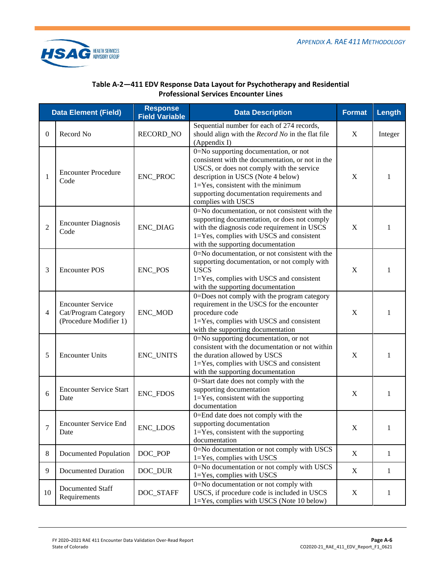

#### **Table A-2—411 EDV Response Data Layout for Psychotherapy and Residential Professional Services Encounter Lines**

<span id="page-29-0"></span>

|                | <b>Data Element (Field)</b>                                                | <b>Response</b><br><b>Field Variable</b> | <b>Data Description</b>                                                                                                                                                                                                                                                                    | <b>Format</b> | <b>Length</b> |
|----------------|----------------------------------------------------------------------------|------------------------------------------|--------------------------------------------------------------------------------------------------------------------------------------------------------------------------------------------------------------------------------------------------------------------------------------------|---------------|---------------|
| 0              | Record No                                                                  | RECORD_NO                                | Sequential number for each of 274 records,<br>should align with the <i>Record No</i> in the flat file<br>(Appendix I)                                                                                                                                                                      | X             | Integer       |
| 1              | <b>Encounter Procedure</b><br>Code                                         | ENC_PROC                                 | 0=No supporting documentation, or not<br>consistent with the documentation, or not in the<br>USCS, or does not comply with the service<br>description in USCS (Note 4 below)<br>$1 = Yes$ , consistent with the minimum<br>supporting documentation requirements and<br>complies with USCS | $\mathbf X$   | 1             |
| $\overline{2}$ | <b>Encounter Diagnosis</b><br>Code                                         | <b>ENC_DIAG</b>                          | 0=No documentation, or not consistent with the<br>supporting documentation, or does not comply<br>with the diagnosis code requirement in USCS<br>1=Yes, complies with USCS and consistent<br>with the supporting documentation                                                             | X             | 1             |
| 3              | <b>Encounter POS</b>                                                       | <b>ENC POS</b>                           | 0=No documentation, or not consistent with the<br>supporting documentation, or not comply with<br><b>USCS</b><br>1=Yes, complies with USCS and consistent<br>with the supporting documentation                                                                                             | X             | 1             |
| $\overline{4}$ | <b>Encounter Service</b><br>Cat/Program Category<br>(Procedure Modifier 1) | ENC_MOD                                  | 0=Does not comply with the program category<br>requirement in the USCS for the encounter<br>procedure code<br>1=Yes, complies with USCS and consistent<br>with the supporting documentation                                                                                                | X             | 1             |
| 5              | <b>Encounter Units</b>                                                     | <b>ENC_UNITS</b>                         | 0=No supporting documentation, or not<br>consistent with the documentation or not within<br>the duration allowed by USCS<br>1=Yes, complies with USCS and consistent<br>with the supporting documentation                                                                                  | X             | 1             |
| 6              | <b>Encounter Service Start</b><br>Date                                     | <b>ENC_FDOS</b>                          | 0=Start date does not comply with the<br>supporting documentation<br>$1 = Yes$ , consistent with the supporting<br>documentation                                                                                                                                                           | X             | 1             |
| 7              | <b>Encounter Service End</b><br>Date                                       | <b>ENC_LDOS</b>                          | 0=End date does not comply with the<br>supporting documentation<br>$1 = Yes$ , consistent with the supporting<br>documentation                                                                                                                                                             | $\mathbf X$   | 1             |
| 8              | Documented Population                                                      | DOC POP                                  | 0=No documentation or not comply with USCS<br>1=Yes, complies with USCS                                                                                                                                                                                                                    | X             | $\mathbf{1}$  |
| 9              | Documented Duration                                                        | DOC_DUR                                  | 0=No documentation or not comply with USCS<br>1=Yes, complies with USCS                                                                                                                                                                                                                    | X             | $\mathbf{1}$  |
| 10             | Documented Staff<br>Requirements                                           | DOC_STAFF                                | 0=No documentation or not comply with<br>USCS, if procedure code is included in USCS<br>1=Yes, complies with USCS (Note 10 below)                                                                                                                                                          | X             | $\mathbf{1}$  |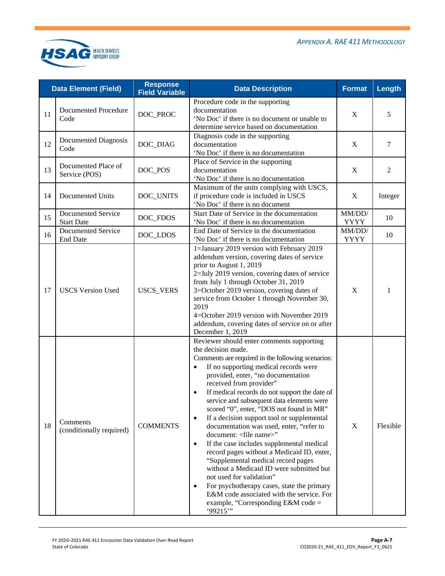

|    | <b>Data Element (Field)</b>             | <b>Response</b><br><b>Field Variable</b> | <b>Data Description</b>                                                                                                                                                                                                                                                                                                                                                                                                                                                                                                                                                                                                                                                                                                                                                                                                                                                                                                                                       | <b>Format</b>         | Length   |
|----|-----------------------------------------|------------------------------------------|---------------------------------------------------------------------------------------------------------------------------------------------------------------------------------------------------------------------------------------------------------------------------------------------------------------------------------------------------------------------------------------------------------------------------------------------------------------------------------------------------------------------------------------------------------------------------------------------------------------------------------------------------------------------------------------------------------------------------------------------------------------------------------------------------------------------------------------------------------------------------------------------------------------------------------------------------------------|-----------------------|----------|
| 11 | Documented Procedure<br>Code            | DOC_PROC                                 | Procedure code in the supporting<br>documentation<br>'No Doc' if there is no document or unable to<br>determine service based on documentation                                                                                                                                                                                                                                                                                                                                                                                                                                                                                                                                                                                                                                                                                                                                                                                                                | X                     | 5        |
| 12 | Documented Diagnosis<br>Code            | DOC_DIAG                                 | Diagnosis code in the supporting<br>documentation<br>'No Doc' if there is no documentation                                                                                                                                                                                                                                                                                                                                                                                                                                                                                                                                                                                                                                                                                                                                                                                                                                                                    | X                     | 7        |
| 13 | Documented Place of<br>Service (POS)    | DOC_POS                                  | Place of Service in the supporting<br>documentation<br>'No Doc' if there is no documentation                                                                                                                                                                                                                                                                                                                                                                                                                                                                                                                                                                                                                                                                                                                                                                                                                                                                  | X                     | 2        |
| 14 | Documented Units                        | DOC_UNITS                                | Maximum of the units complying with USCS,<br>if procedure code is included in USCS<br>'No Doc' if there is no document                                                                                                                                                                                                                                                                                                                                                                                                                                                                                                                                                                                                                                                                                                                                                                                                                                        | $\mathbf X$           | Integer  |
| 15 | Documented Service<br><b>Start Date</b> | DOC_FDOS                                 | Start Date of Service in the documentation<br>'No Doc' if there is no documentation                                                                                                                                                                                                                                                                                                                                                                                                                                                                                                                                                                                                                                                                                                                                                                                                                                                                           | MM/DD/<br><b>YYYY</b> | 10       |
| 16 | Documented Service<br><b>End Date</b>   | DOC_LDOS                                 | End Date of Service in the documentation<br>'No Doc' if there is no documentation                                                                                                                                                                                                                                                                                                                                                                                                                                                                                                                                                                                                                                                                                                                                                                                                                                                                             | MM/DD/<br><b>YYYY</b> | 10       |
| 17 | <b>USCS Version Used</b>                | <b>USCS_VERS</b>                         | 1=January 2019 version with February 2019<br>addendum version, covering dates of service<br>prior to August 1, 2019<br>2=July 2019 version, covering dates of service<br>from July 1 through October 31, 2019<br>3=October 2019 version, covering dates of<br>service from October 1 through November 30,<br>2019<br>4=October 2019 version with November 2019<br>addendum, covering dates of service on or after<br>December 1, 2019                                                                                                                                                                                                                                                                                                                                                                                                                                                                                                                         | X                     | 1        |
| 18 | Comments<br>(conditionally required)    | <b>COMMENTS</b>                          | Reviewer should enter comments supporting<br>the decision made.<br>Comments are required in the following scenarios:<br>If no supporting medical records were<br>$\bullet$<br>provided, enter, "no documentation<br>received from provider"<br>If medical records do not support the date of<br>service and subsequent data elements were<br>scored "0", enter, "DOS not found in MR"<br>If a decision support tool or supplemental<br>$\bullet$<br>documentation was used, enter, "refer to<br>document: <file name="">"<br/>If the case includes supplemental medical<br/><math display="inline">\bullet</math><br/>record pages without a Medicaid ID, enter,<br/>"Supplemental medical record pages<br/>without a Medicaid ID were submitted but<br/>not used for validation"<br/>For psychotherapy cases, state the primary<br/>E&amp;M code associated with the service. For<br/>example, "Corresponding E&amp;M code <math>=</math><br/>'99215"</file> | $\mathbf X$           | Flexible |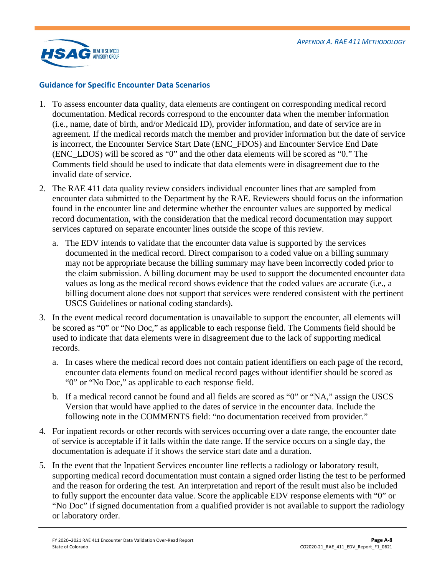

#### **Guidance for Specific Encounter Data Scenarios**

- 1. To assess encounter data quality, data elements are contingent on corresponding medical record documentation. Medical records correspond to the encounter data when the member information (i.e., name, date of birth, and/or Medicaid ID), provider information, and date of service are in agreement. If the medical records match the member and provider information but the date of service is incorrect, the Encounter Service Start Date (ENC\_FDOS) and Encounter Service End Date (ENC\_LDOS) will be scored as "0" and the other data elements will be scored as "0." The Comments field should be used to indicate that data elements were in disagreement due to the invalid date of service.
- 2. The RAE 411 data quality review considers individual encounter lines that are sampled from encounter data submitted to the Department by the RAE. Reviewers should focus on the information found in the encounter line and determine whether the encounter values are supported by medical record documentation, with the consideration that the medical record documentation may support services captured on separate encounter lines outside the scope of this review.
	- a. The EDV intends to validate that the encounter data value is supported by the services documented in the medical record. Direct comparison to a coded value on a billing summary may not be appropriate because the billing summary may have been incorrectly coded prior to the claim submission. A billing document may be used to support the documented encounter data values as long as the medical record shows evidence that the coded values are accurate (i.e., a billing document alone does not support that services were rendered consistent with the pertinent USCS Guidelines or national coding standards).
- 3. In the event medical record documentation is unavailable to support the encounter, all elements will be scored as "0" or "No Doc," as applicable to each response field. The Comments field should be used to indicate that data elements were in disagreement due to the lack of supporting medical records.
	- a. In cases where the medical record does not contain patient identifiers on each page of the record, encounter data elements found on medical record pages without identifier should be scored as "0" or "No Doc," as applicable to each response field.
	- b. If a medical record cannot be found and all fields are scored as "0" or "NA," assign the USCS Version that would have applied to the dates of service in the encounter data. Include the following note in the COMMENTS field: "no documentation received from provider."
- 4. For inpatient records or other records with services occurring over a date range, the encounter date of service is acceptable if it falls within the date range. If the service occurs on a single day, the documentation is adequate if it shows the service start date and a duration.
- 5. In the event that the Inpatient Services encounter line reflects a radiology or laboratory result, supporting medical record documentation must contain a signed order listing the test to be performed and the reason for ordering the test. An interpretation and report of the result must also be included to fully support the encounter data value. Score the applicable EDV response elements with "0" or "No Doc" if signed documentation from a qualified provider is not available to support the radiology or laboratory order.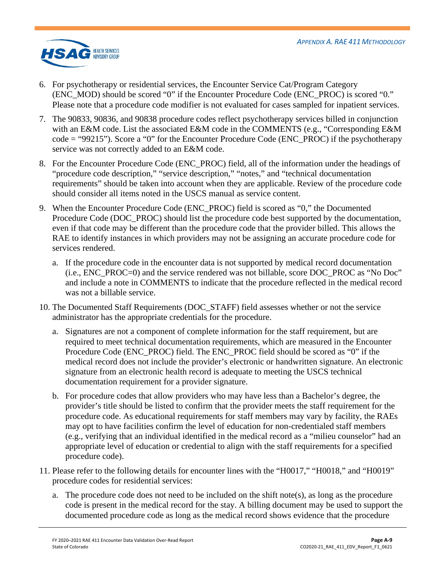

- 6. For psychotherapy or residential services, the Encounter Service Cat/Program Category (ENC\_MOD) should be scored "0" if the Encounter Procedure Code (ENC\_PROC) is scored "0." Please note that a procedure code modifier is not evaluated for cases sampled for inpatient services.
- 7. The 90833, 90836, and 90838 procedure codes reflect psychotherapy services billed in conjunction with an E&M code. List the associated E&M code in the COMMENTS (e.g., "Corresponding E&M code = "99215"). Score a "0" for the Encounter Procedure Code (ENC\_PROC) if the psychotherapy service was not correctly added to an E&M code.
- 8. For the Encounter Procedure Code (ENC\_PROC) field, all of the information under the headings of "procedure code description," "service description," "notes," and "technical documentation requirements" should be taken into account when they are applicable. Review of the procedure code should consider all items noted in the USCS manual as service content.
- 9. When the Encounter Procedure Code (ENC\_PROC) field is scored as "0," the Documented Procedure Code (DOC\_PROC) should list the procedure code best supported by the documentation, even if that code may be different than the procedure code that the provider billed. This allows the RAE to identify instances in which providers may not be assigning an accurate procedure code for services rendered.
	- a. If the procedure code in the encounter data is not supported by medical record documentation (i.e., ENC\_PROC=0) and the service rendered was not billable, score DOC\_PROC as "No Doc" and include a note in COMMENTS to indicate that the procedure reflected in the medical record was not a billable service.
- 10. The Documented Staff Requirements (DOC\_STAFF) field assesses whether or not the service administrator has the appropriate credentials for the procedure.
	- a. Signatures are not a component of complete information for the staff requirement, but are required to meet technical documentation requirements, which are measured in the Encounter Procedure Code (ENC\_PROC) field. The ENC\_PROC field should be scored as "0" if the medical record does not include the provider's electronic or handwritten signature. An electronic signature from an electronic health record is adequate to meeting the USCS technical documentation requirement for a provider signature.
	- b. For procedure codes that allow providers who may have less than a Bachelor's degree, the provider's title should be listed to confirm that the provider meets the staff requirement for the procedure code. As educational requirements for staff members may vary by facility, the RAEs may opt to have facilities confirm the level of education for non-credentialed staff members (e.g., verifying that an individual identified in the medical record as a "milieu counselor" had an appropriate level of education or credential to align with the staff requirements for a specified procedure code).
- 11. Please refer to the following details for encounter lines with the "H0017," "H0018," and "H0019" procedure codes for residential services:
	- a. The procedure code does not need to be included on the shift note(s), as long as the procedure code is present in the medical record for the stay. A billing document may be used to support the documented procedure code as long as the medical record shows evidence that the procedure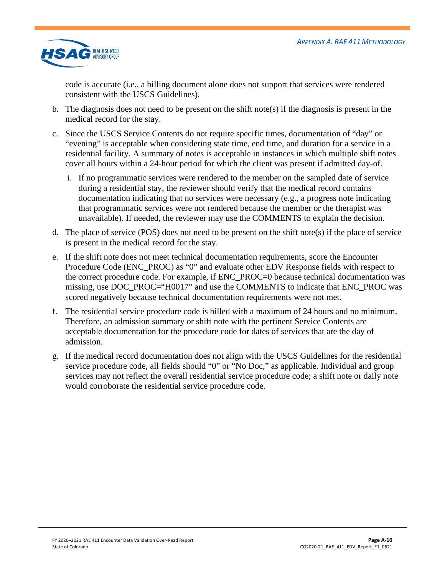

code is accurate (i.e., a billing document alone does not support that services were rendered consistent with the USCS Guidelines).

- b. The diagnosis does not need to be present on the shift note(s) if the diagnosis is present in the medical record for the stay.
- c. Since the USCS Service Contents do not require specific times, documentation of "day" or "evening" is acceptable when considering state time, end time, and duration for a service in a residential facility. A summary of notes is acceptable in instances in which multiple shift notes cover all hours within a 24-hour period for which the client was present if admitted day-of.
	- i. If no programmatic services were rendered to the member on the sampled date of service during a residential stay, the reviewer should verify that the medical record contains documentation indicating that no services were necessary (e.g., a progress note indicating that programmatic services were not rendered because the member or the therapist was unavailable). If needed, the reviewer may use the COMMENTS to explain the decision.
- d. The place of service (POS) does not need to be present on the shift note(s) if the place of service is present in the medical record for the stay.
- e. If the shift note does not meet technical documentation requirements, score the Encounter Procedure Code (ENC\_PROC) as "0" and evaluate other EDV Response fields with respect to the correct procedure code. For example, if ENC\_PROC=0 because technical documentation was missing, use DOC\_PROC="H0017" and use the COMMENTS to indicate that ENC\_PROC was scored negatively because technical documentation requirements were not met.
- f. The residential service procedure code is billed with a maximum of 24 hours and no minimum. Therefore, an admission summary or shift note with the pertinent Service Contents are acceptable documentation for the procedure code for dates of services that are the day of admission.
- g. If the medical record documentation does not align with the USCS Guidelines for the residential service procedure code, all fields should "0" or "No Doc," as applicable. Individual and group services may not reflect the overall residential service procedure code; a shift note or daily note would corroborate the residential service procedure code.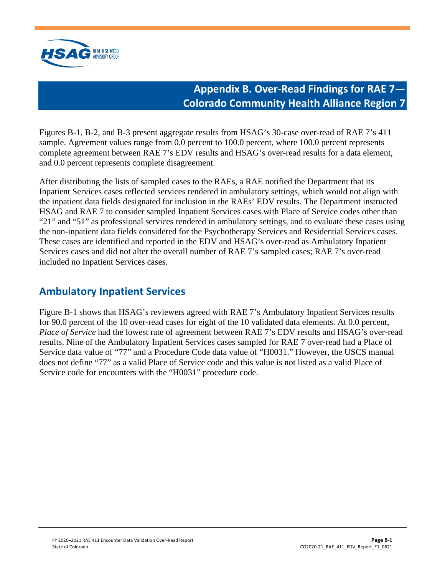<span id="page-34-0"></span>

# **Appendix B. Over-Read Findings for RAE 7— Colorado Community Health Alliance Region 7**

Figures B-1, B-2, and B-3 present aggregate results from HSAG's 30-case over-read of RAE 7's 411 sample. Agreement values range from 0.0 percent to 100.0 percent, where 100.0 percent represents complete agreement between RAE 7's EDV results and HSAG's over-read results for a data element, and 0.0 percent represents complete disagreement.

After distributing the lists of sampled cases to the RAEs, a RAE notified the Department that its Inpatient Services cases reflected services rendered in ambulatory settings, which would not align with the inpatient data fields designated for inclusion in the RAEs' EDV results. The Department instructed HSAG and RAE 7 to consider sampled Inpatient Services cases with Place of Service codes other than "21" and "51" as professional services rendered in ambulatory settings, and to evaluate these cases using the non-inpatient data fields considered for the Psychotherapy Services and Residential Services cases. These cases are identified and reported in the EDV and HSAG's over-read as Ambulatory Inpatient Services cases and did not alter the overall number of RAE 7's sampled cases; RAE 7's over-read included no Inpatient Services cases.

## **Ambulatory Inpatient Services**

[Figure B-1](#page-35-0) shows that HSAG's reviewers agreed with RAE 7's Ambulatory Inpatient Services results for 90.0 percent of the 10 over-read cases for eight of the 10 validated data elements. At 0.0 percent, *Place of Service* had the lowest rate of agreement between RAE 7's EDV results and HSAG's over-read results. Nine of the Ambulatory Inpatient Services cases sampled for RAE 7 over-read had a Place of Service data value of "77" and a Procedure Code data value of "H0031." However, the USCS manual does not define "77" as a valid Place of Service code and this value is not listed as a valid Place of Service code for encounters with the "H0031" procedure code.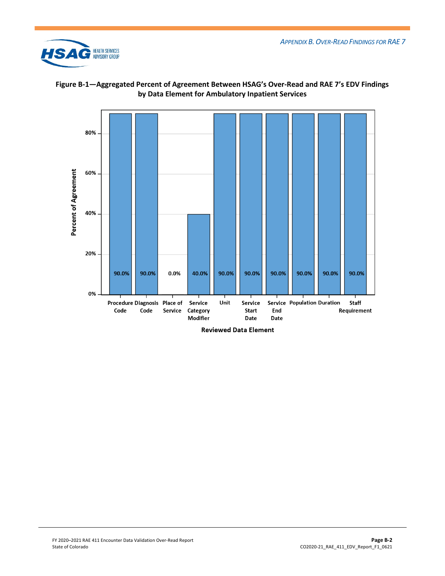



<span id="page-35-0"></span>

**Reviewed Data Element**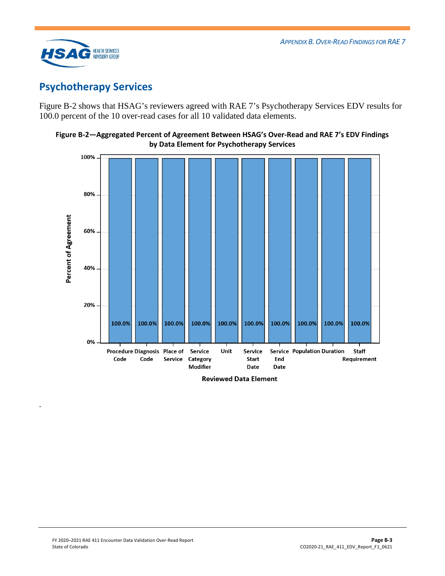

*.*

# **Psychotherapy Services**

[Figure B-2](#page-36-0) shows that HSAG's reviewers agreed with RAE 7's Psychotherapy Services EDV results for 100.0 percent of the 10 over-read cases for all 10 validated data elements.

<span id="page-36-0"></span>



**Reviewed Data Element**